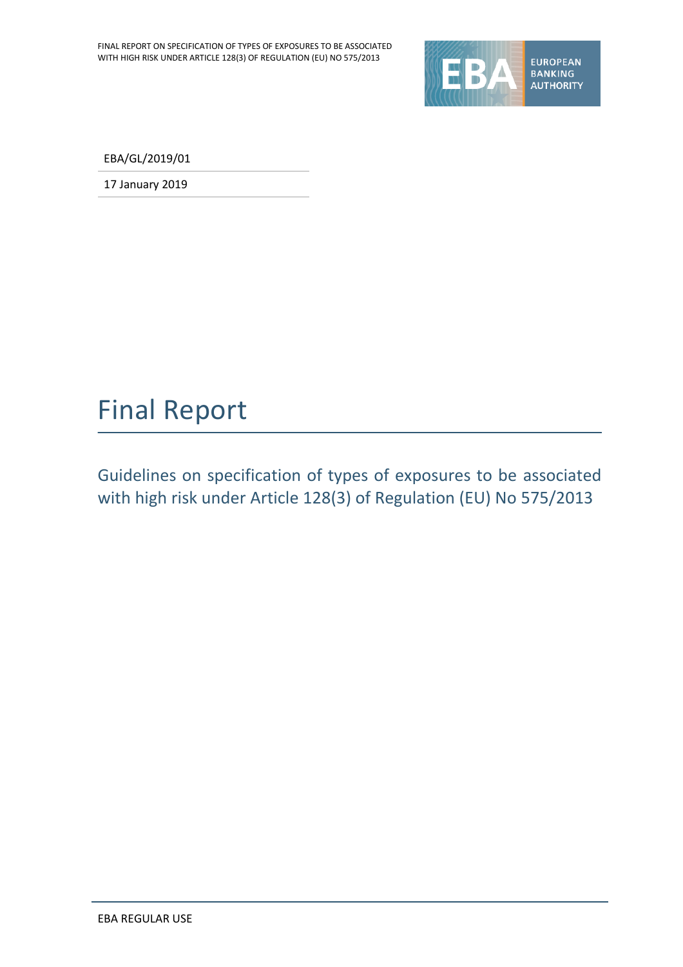

EBA/GL/2019/01

17 January 2019

# Final Report

Guidelines on specification of types of exposures to be associated with high risk under Article 128(3) of Regulation (EU) No 575/2013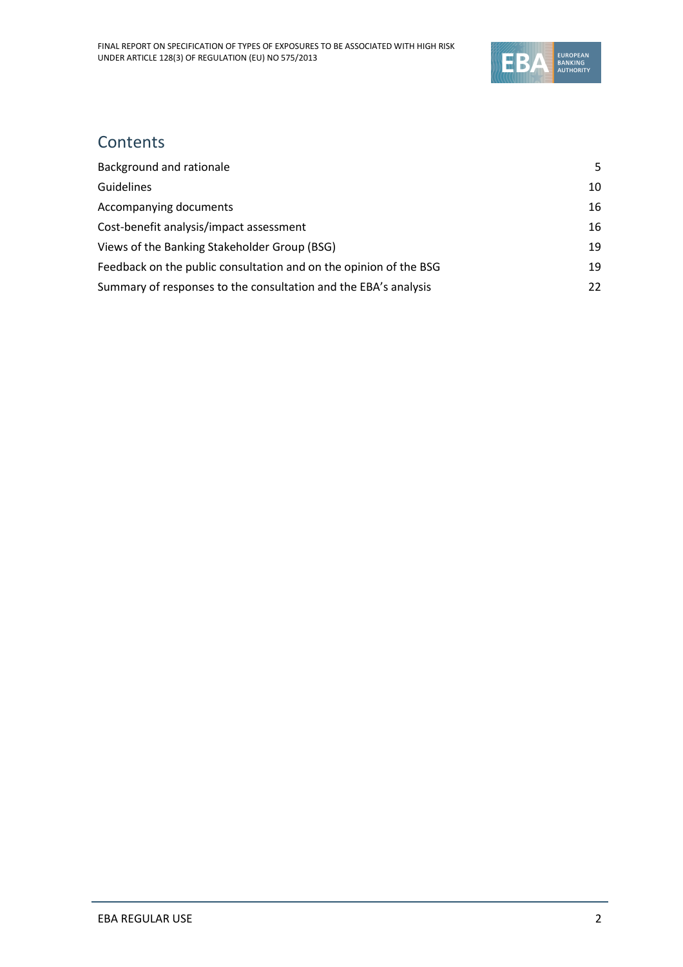

## **Contents**

| Background and rationale                                          | 5. |
|-------------------------------------------------------------------|----|
| <b>Guidelines</b>                                                 | 10 |
| Accompanying documents                                            | 16 |
| Cost-benefit analysis/impact assessment                           | 16 |
| Views of the Banking Stakeholder Group (BSG)                      | 19 |
| Feedback on the public consultation and on the opinion of the BSG | 19 |
| Summary of responses to the consultation and the EBA's analysis   | 22 |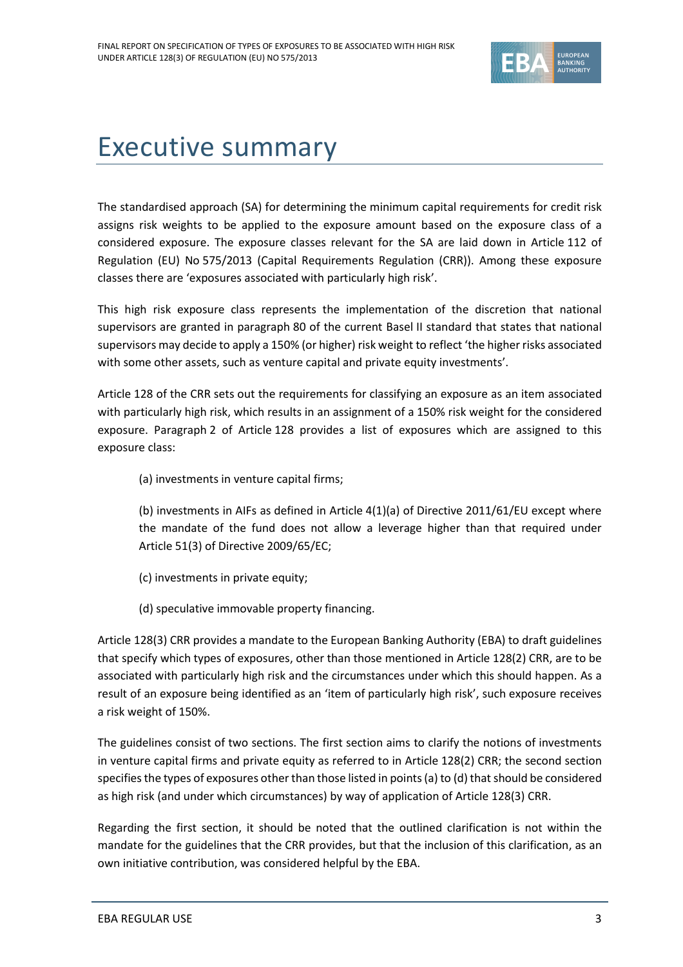

# Executive summary

The standardised approach (SA) for determining the minimum capital requirements for credit risk assigns risk weights to be applied to the exposure amount based on the exposure class of a considered exposure. The exposure classes relevant for the SA are laid down in Article 112 of Regulation (EU) No 575/2013 (Capital Requirements Regulation (CRR)). Among these exposure classes there are 'exposures associated with particularly high risk'.

This high risk exposure class represents the implementation of the discretion that national supervisors are granted in paragraph 80 of the current Basel II standard that states that national supervisors may decide to apply a 150% (or higher) risk weight to reflect 'the higher risks associated with some other assets, such as venture capital and private equity investments'.

Article 128 of the CRR sets out the requirements for classifying an exposure as an item associated with particularly high risk, which results in an assignment of a 150% risk weight for the considered exposure. Paragraph 2 of Article 128 provides a list of exposures which are assigned to this exposure class:

(a) investments in venture capital firms;

(b) investments in AIFs as defined in Article 4(1)(a) of Directive 2011/61/EU except where the mandate of the fund does not allow a leverage higher than that required under Article 51(3) of Directive 2009/65/EC;

- (c) investments in private equity;
- (d) speculative immovable property financing.

Article 128(3) CRR provides a mandate to the European Banking Authority (EBA) to draft guidelines that specify which types of exposures, other than those mentioned in Article 128(2) CRR, are to be associated with particularly high risk and the circumstances under which this should happen. As a result of an exposure being identified as an 'item of particularly high risk', such exposure receives a risk weight of 150%.

The guidelines consist of two sections. The first section aims to clarify the notions of investments in venture capital firms and private equity as referred to in Article 128(2) CRR; the second section specifies the types of exposures other than those listed in points (a) to (d) that should be considered as high risk (and under which circumstances) by way of application of Article 128(3) CRR.

Regarding the first section, it should be noted that the outlined clarification is not within the mandate for the guidelines that the CRR provides, but that the inclusion of this clarification, as an own initiative contribution, was considered helpful by the EBA.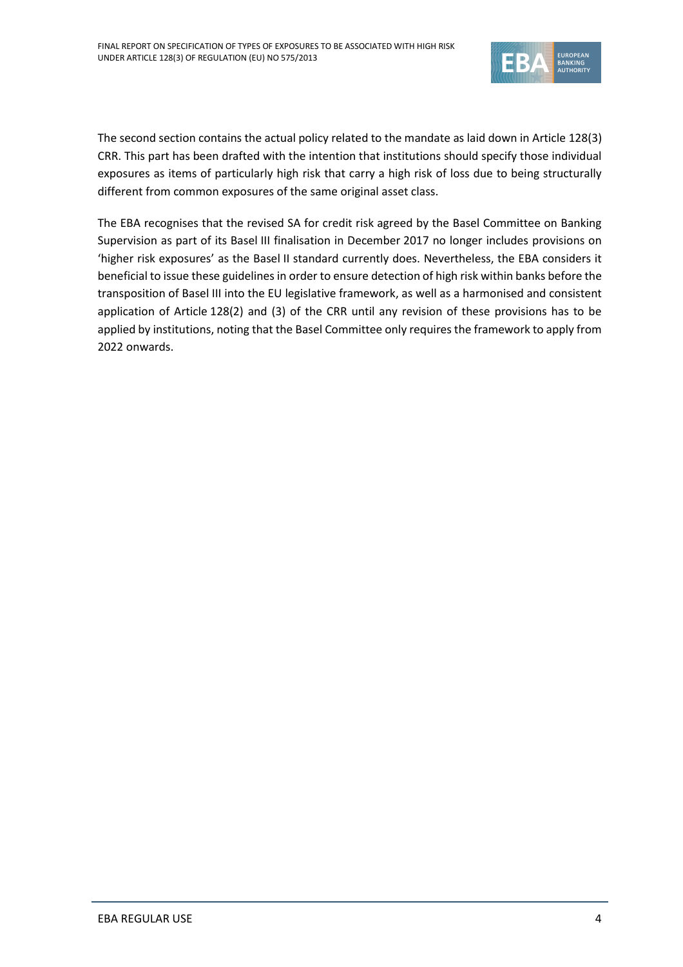

The second section contains the actual policy related to the mandate as laid down in Article 128(3) CRR. This part has been drafted with the intention that institutions should specify those individual exposures as items of particularly high risk that carry a high risk of loss due to being structurally different from common exposures of the same original asset class.

The EBA recognises that the revised SA for credit risk agreed by the Basel Committee on Banking Supervision as part of its Basel III finalisation in December 2017 no longer includes provisions on 'higher risk exposures' as the Basel II standard currently does. Nevertheless, the EBA considers it beneficial to issue these guidelines in order to ensure detection of high risk within banks before the transposition of Basel III into the EU legislative framework, as well as a harmonised and consistent application of Article 128(2) and (3) of the CRR until any revision of these provisions has to be applied by institutions, noting that the Basel Committee only requires the framework to apply from 2022 onwards.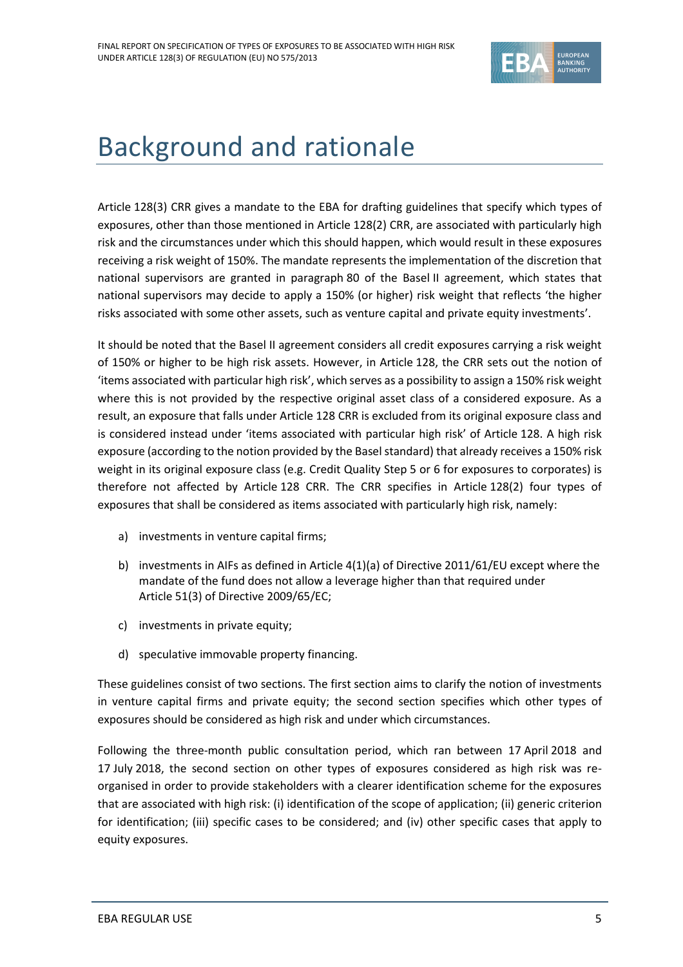

# <span id="page-4-0"></span>Background and rationale

Article 128(3) CRR gives a mandate to the EBA for drafting guidelines that specify which types of exposures, other than those mentioned in Article 128(2) CRR, are associated with particularly high risk and the circumstances under which this should happen, which would result in these exposures receiving a risk weight of 150%. The mandate represents the implementation of the discretion that national supervisors are granted in paragraph 80 of the Basel II agreement, which states that national supervisors may decide to apply a 150% (or higher) risk weight that reflects 'the higher risks associated with some other assets, such as venture capital and private equity investments'.

It should be noted that the Basel II agreement considers all credit exposures carrying a risk weight of 150% or higher to be high risk assets. However, in Article 128, the CRR sets out the notion of 'items associated with particular high risk', which serves as a possibility to assign a 150% risk weight where this is not provided by the respective original asset class of a considered exposure. As a result, an exposure that falls under Article 128 CRR is excluded from its original exposure class and is considered instead under 'items associated with particular high risk' of Article 128. A high risk exposure (according to the notion provided by the Basel standard) that already receives a 150% risk weight in its original exposure class (e.g. Credit Quality Step 5 or 6 for exposures to corporates) is therefore not affected by Article 128 CRR. The CRR specifies in Article 128(2) four types of exposures that shall be considered as items associated with particularly high risk, namely:

- a) investments in venture capital firms;
- b) investments in AIFs as defined in Article 4(1)(a) of Directive 2011/61/EU except where the mandate of the fund does not allow a leverage higher than that required under Article 51(3) of Directive 2009/65/EC;
- c) investments in private equity;
- d) speculative immovable property financing.

These guidelines consist of two sections. The first section aims to clarify the notion of investments in venture capital firms and private equity; the second section specifies which other types of exposures should be considered as high risk and under which circumstances.

Following the three-month public consultation period, which ran between 17 April 2018 and 17 July 2018, the second section on other types of exposures considered as high risk was reorganised in order to provide stakeholders with a clearer identification scheme for the exposures that are associated with high risk: (i) identification of the scope of application; (ii) generic criterion for identification; (iii) specific cases to be considered; and (iv) other specific cases that apply to equity exposures.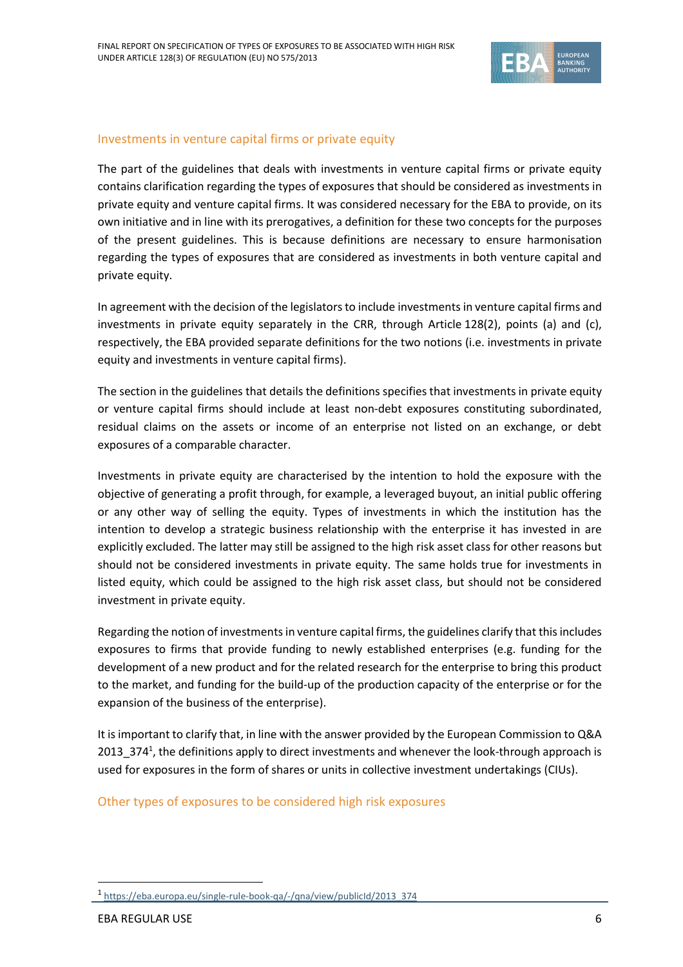

### Investments in venture capital firms or private equity

The part of the guidelines that deals with investments in venture capital firms or private equity contains clarification regarding the types of exposures that should be considered as investments in private equity and venture capital firms. It was considered necessary for the EBA to provide, on its own initiative and in line with its prerogatives, a definition for these two concepts for the purposes of the present guidelines. This is because definitions are necessary to ensure harmonisation regarding the types of exposures that are considered as investments in both venture capital and private equity.

In agreement with the decision of the legislators to include investments in venture capital firms and investments in private equity separately in the CRR, through Article 128(2), points (a) and (c), respectively, the EBA provided separate definitions for the two notions (i.e. investments in private equity and investments in venture capital firms).

The section in the guidelines that details the definitions specifies that investments in private equity or venture capital firms should include at least non-debt exposures constituting subordinated, residual claims on the assets or income of an enterprise not listed on an exchange, or debt exposures of a comparable character.

Investments in private equity are characterised by the intention to hold the exposure with the objective of generating a profit through, for example, a leveraged buyout, an initial public offering or any other way of selling the equity. Types of investments in which the institution has the intention to develop a strategic business relationship with the enterprise it has invested in are explicitly excluded. The latter may still be assigned to the high risk asset class for other reasons but should not be considered investments in private equity. The same holds true for investments in listed equity, which could be assigned to the high risk asset class, but should not be considered investment in private equity.

Regarding the notion of investments in venture capital firms, the guidelines clarify that this includes exposures to firms that provide funding to newly established enterprises (e.g. funding for the development of a new product and for the related research for the enterprise to bring this product to the market, and funding for the build-up of the production capacity of the enterprise or for the expansion of the business of the enterprise).

It is important to clarify that, in line with the answer provided by the European Commission to Q&A 2013\_374<sup>1</sup>, the definitions apply to direct investments and whenever the look-through approach is used for exposures in the form of shares or units in collective investment undertakings (CIUs).

Other types of exposures to be considered high risk exposures

1

<sup>1</sup> [https://eba.europa.eu/single-rule-book-qa/-/qna/view/publicId/2013\\_374](https://eba.europa.eu/single-rule-book-qa/-/qna/view/publicId/2013_374)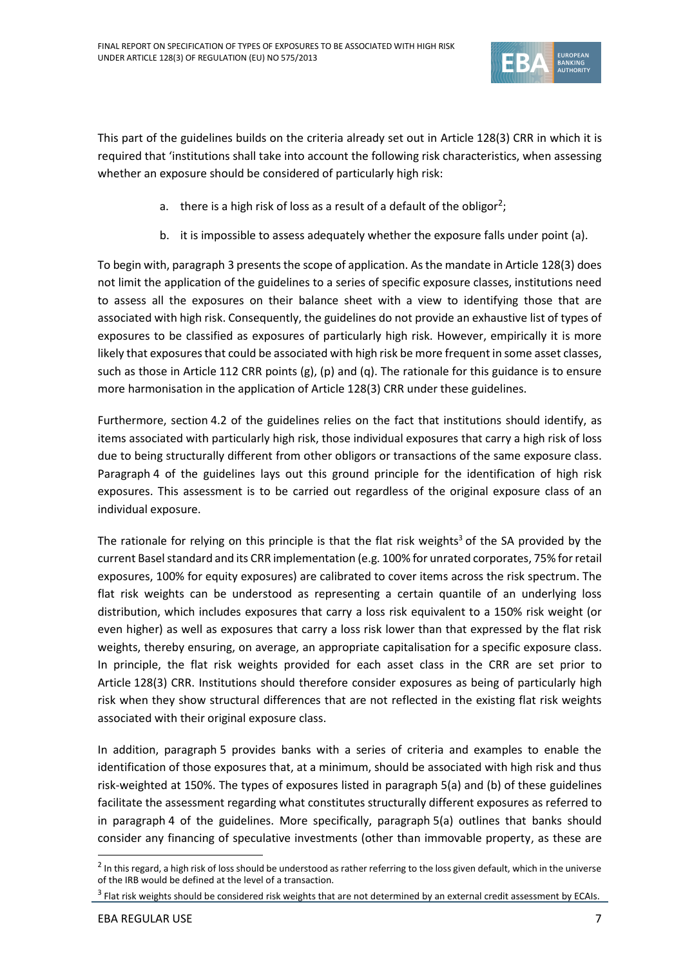

This part of the guidelines builds on the criteria already set out in Article 128(3) CRR in which it is required that 'institutions shall take into account the following risk characteristics, when assessing whether an exposure should be considered of particularly high risk:

- a.  $\,$  there is a high risk of loss as a result of a default of the obligor<sup>2</sup>;
- b. it is impossible to assess adequately whether the exposure falls under point (a).

To begin with, paragraph 3 presents the scope of application. As the mandate in Article 128(3) does not limit the application of the guidelines to a series of specific exposure classes, institutions need to assess all the exposures on their balance sheet with a view to identifying those that are associated with high risk. Consequently, the guidelines do not provide an exhaustive list of types of exposures to be classified as exposures of particularly high risk. However, empirically it is more likely that exposures that could be associated with high risk be more frequent in some asset classes, such as those in Article 112 CRR points (g), (p) and (q). The rationale for this guidance is to ensure more harmonisation in the application of Article 128(3) CRR under these guidelines.

Furthermore, section 4.2 of the guidelines relies on the fact that institutions should identify, as items associated with particularly high risk, those individual exposures that carry a high risk of loss due to being structurally different from other obligors or transactions of the same exposure class. Paragraph 4 of the guidelines lays out this ground principle for the identification of high risk exposures. This assessment is to be carried out regardless of the original exposure class of an individual exposure.

The rationale for relying on this principle is that the flat risk weights<sup>3</sup> of the SA provided by the current Basel standard and its CRR implementation (e.g. 100% for unrated corporates, 75% for retail exposures, 100% for equity exposures) are calibrated to cover items across the risk spectrum. The flat risk weights can be understood as representing a certain quantile of an underlying loss distribution, which includes exposures that carry a loss risk equivalent to a 150% risk weight (or even higher) as well as exposures that carry a loss risk lower than that expressed by the flat risk weights, thereby ensuring, on average, an appropriate capitalisation for a specific exposure class. In principle, the flat risk weights provided for each asset class in the CRR are set prior to Article 128(3) CRR. Institutions should therefore consider exposures as being of particularly high risk when they show structural differences that are not reflected in the existing flat risk weights associated with their original exposure class.

In addition, paragraph 5 provides banks with a series of criteria and examples to enable the identification of those exposures that, at a minimum, should be associated with high risk and thus risk-weighted at 150%. The types of exposures listed in paragraph 5(a) and (b) of these guidelines facilitate the assessment regarding what constitutes structurally different exposures as referred to in paragraph 4 of the guidelines. More specifically, paragraph 5(a) outlines that banks should consider any financing of speculative investments (other than immovable property, as these are

1

 $^2$  In this regard, a high risk of loss should be understood as rather referring to the loss given default, which in the universe of the IRB would be defined at the level of a transaction.

 $3$  Flat risk weights should be considered risk weights that are not determined by an external credit assessment by ECAIs.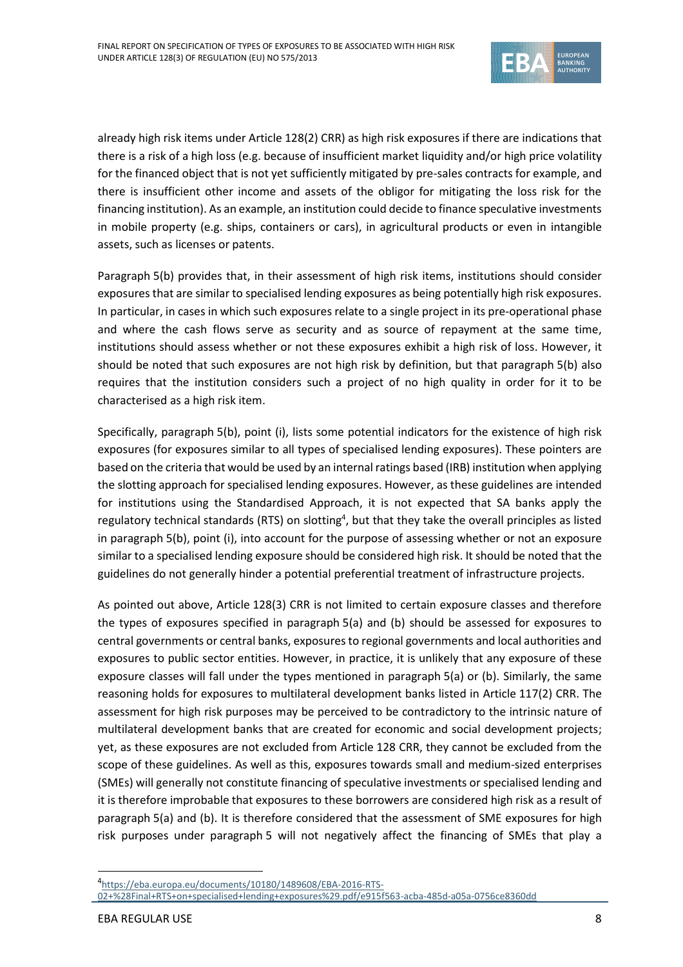

already high risk items under Article 128(2) CRR) as high risk exposures if there are indications that there is a risk of a high loss (e.g. because of insufficient market liquidity and/or high price volatility for the financed object that is not yet sufficiently mitigated by pre-sales contracts for example, and there is insufficient other income and assets of the obligor for mitigating the loss risk for the financing institution). As an example, an institution could decide to finance speculative investments in mobile property (e.g. ships, containers or cars), in agricultural products or even in intangible assets, such as licenses or patents.

Paragraph 5(b) provides that, in their assessment of high risk items, institutions should consider exposures that are similar to specialised lending exposures as being potentially high risk exposures. In particular, in cases in which such exposures relate to a single project in its pre-operational phase and where the cash flows serve as security and as source of repayment at the same time, institutions should assess whether or not these exposures exhibit a high risk of loss. However, it should be noted that such exposures are not high risk by definition, but that paragraph 5(b) also requires that the institution considers such a project of no high quality in order for it to be characterised as a high risk item.

Specifically, paragraph 5(b), point (i), lists some potential indicators for the existence of high risk exposures (for exposures similar to all types of specialised lending exposures). These pointers are based on the criteria that would be used by an internal ratings based (IRB) institution when applying the slotting approach for specialised lending exposures. However, as these guidelines are intended for institutions using the Standardised Approach, it is not expected that SA banks apply the regulatory technical standards (RTS) on slotting<sup>4</sup>, but that they take the overall principles as listed in paragraph 5(b), point (i), into account for the purpose of assessing whether or not an exposure similar to a specialised lending exposure should be considered high risk. It should be noted that the guidelines do not generally hinder a potential preferential treatment of infrastructure projects.

As pointed out above, Article 128(3) CRR is not limited to certain exposure classes and therefore the types of exposures specified in paragraph 5(a) and (b) should be assessed for exposures to central governments or central banks, exposures to regional governments and local authorities and exposures to public sector entities. However, in practice, it is unlikely that any exposure of these exposure classes will fall under the types mentioned in paragraph 5(a) or (b). Similarly, the same reasoning holds for exposures to multilateral development banks listed in Article 117(2) CRR. The assessment for high risk purposes may be perceived to be contradictory to the intrinsic nature of multilateral development banks that are created for economic and social development projects; yet, as these exposures are not excluded from Article 128 CRR, they cannot be excluded from the scope of these guidelines. As well as this, exposures towards small and medium-sized enterprises (SMEs) will generally not constitute financing of speculative investments or specialised lending and it is therefore improbable that exposures to these borrowers are considered high risk as a result of paragraph 5(a) and (b). It is therefore considered that the assessment of SME exposures for high risk purposes under paragraph 5 will not negatively affect the financing of SMEs that play a

.

<sup>4</sup> [https://eba.europa.eu/documents/10180/1489608/EBA-2016-RTS-](https://eba.europa.eu/documents/10180/1489608/EBA-2016-RTS-02+%28Final+RTS+on+specialised+lending+exposures%29.pdf/e915f563-acba-485d-a05a-0756ce8360dd)

[<sup>02+%28</sup>Final+RTS+on+specialised+lending+exposures%29.pdf/e915f563-acba-485d-a05a-0756ce8360dd](https://eba.europa.eu/documents/10180/1489608/EBA-2016-RTS-02+%28Final+RTS+on+specialised+lending+exposures%29.pdf/e915f563-acba-485d-a05a-0756ce8360dd)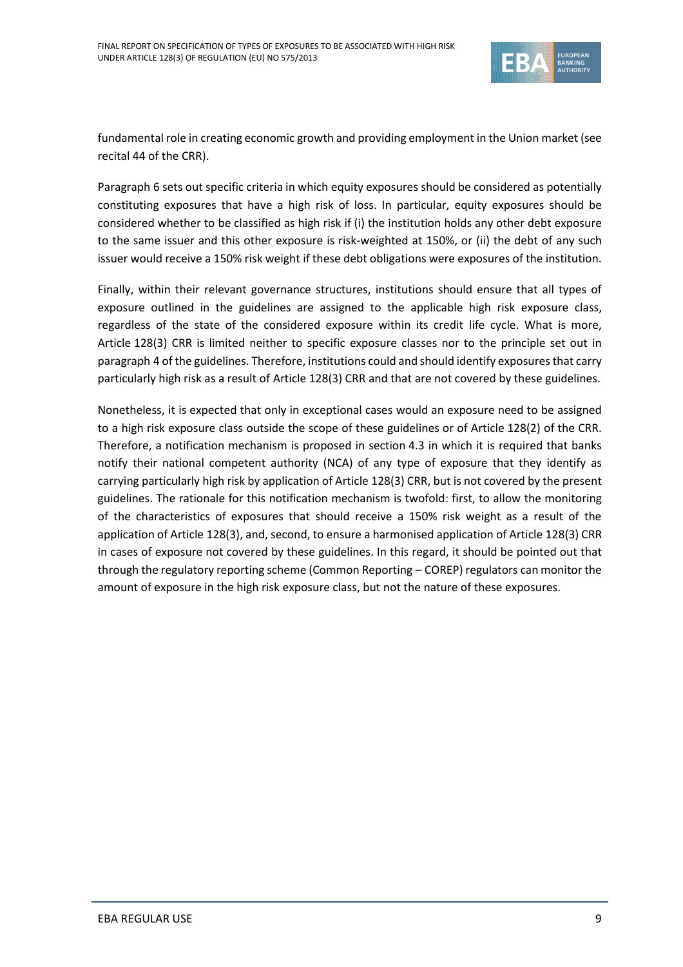

fundamental role in creating economic growth and providing employment in the Union market (see recital 44 of the CRR).

Paragraph 6 sets out specific criteria in which equity exposures should be considered as potentially constituting exposures that have a high risk of loss. In particular, equity exposures should be considered whether to be classified as high risk if (i) the institution holds any other debt exposure to the same issuer and this other exposure is risk-weighted at 150%, or (ii) the debt of any such issuer would receive a 150% risk weight if these debt obligations were exposures of the institution.

Finally, within their relevant governance structures, institutions should ensure that all types of exposure outlined in the guidelines are assigned to the applicable high risk exposure class, regardless of the state of the considered exposure within its credit life cycle. What is more, Article 128(3) CRR is limited neither to specific exposure classes nor to the principle set out in paragraph 4 of the guidelines. Therefore, institutions could and should identify exposures that carry particularly high risk as a result of Article 128(3) CRR and that are not covered by these guidelines.

Nonetheless, it is expected that only in exceptional cases would an exposure need to be assigned to a high risk exposure class outside the scope of these guidelines or of Article 128(2) of the CRR. Therefore, a notification mechanism is proposed in section 4.3 in which it is required that banks notify their national competent authority (NCA) of any type of exposure that they identify as carrying particularly high risk by application of Article 128(3) CRR, but is not covered by the present guidelines. The rationale for this notification mechanism is twofold: first, to allow the monitoring of the characteristics of exposures that should receive a 150% risk weight as a result of the application of Article 128(3), and, second, to ensure a harmonised application of Article 128(3) CRR in cases of exposure not covered by these guidelines. In this regard, it should be pointed out that through the regulatory reporting scheme (Common Reporting – COREP) regulators can monitor the amount of exposure in the high risk exposure class, but not the nature of these exposures.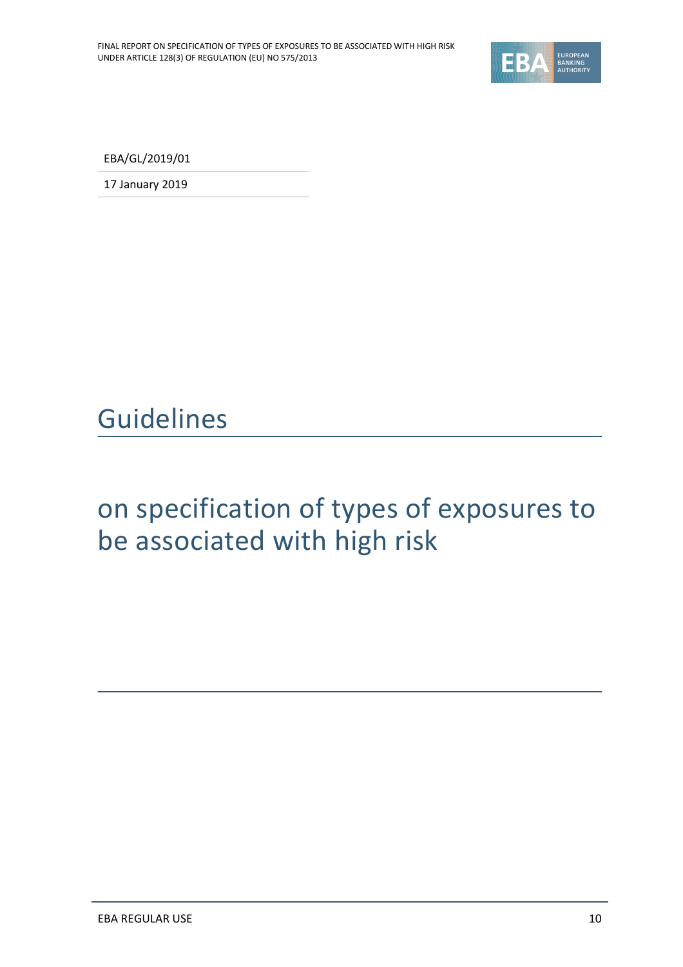

EBA/GL/2019/01

17 January 2019

<span id="page-9-0"></span>Guidelines

# on specification of types of exposures to be associated with high risk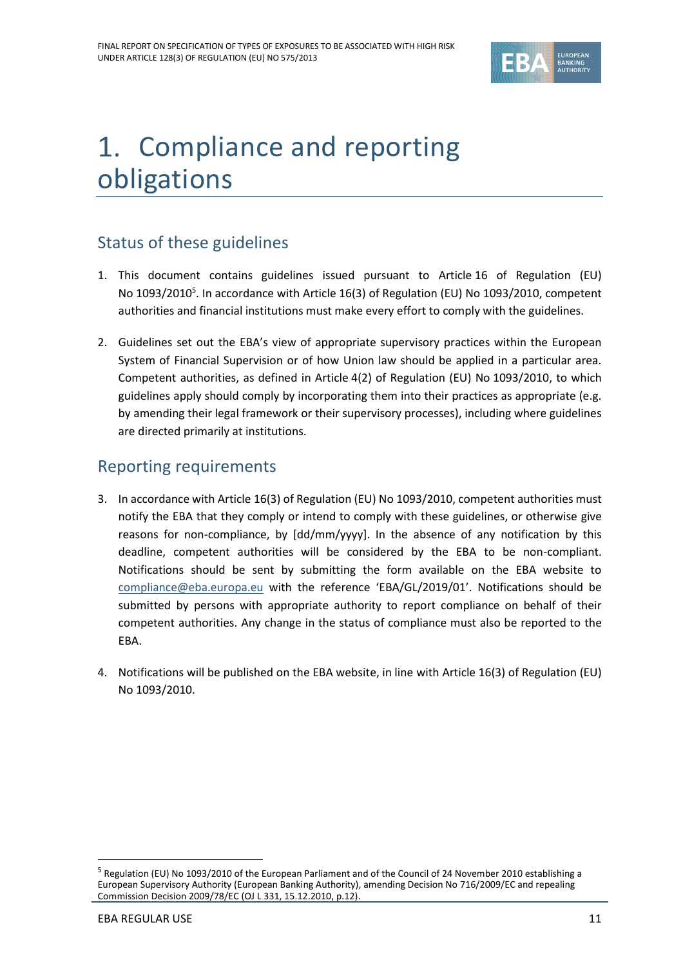

# 1. Compliance and reporting obligations

## Status of these guidelines

- 1. This document contains guidelines issued pursuant to Article 16 of Regulation (EU) No 1093/2010<sup>5</sup>. In accordance with Article 16(3) of Regulation (EU) No 1093/2010, competent authorities and financial institutions must make every effort to comply with the guidelines.
- 2. Guidelines set out the EBA's view of appropriate supervisory practices within the European System of Financial Supervision or of how Union law should be applied in a particular area. Competent authorities, as defined in Article 4(2) of Regulation (EU) No 1093/2010, to which guidelines apply should comply by incorporating them into their practices as appropriate (e.g. by amending their legal framework or their supervisory processes), including where guidelines are directed primarily at institutions.

## Reporting requirements

- 3. In accordance with Article 16(3) of Regulation (EU) No 1093/2010, competent authorities must notify the EBA that they comply or intend to comply with these guidelines, or otherwise give reasons for non-compliance, by [dd/mm/yyyy]. In the absence of any notification by this deadline, competent authorities will be considered by the EBA to be non-compliant. Notifications should be sent by submitting the form available on the EBA website to [compliance@eba.europa.eu](mailto:compliance@eba.europa.eu) with the reference 'EBA/GL/2019/01'. Notifications should be submitted by persons with appropriate authority to report compliance on behalf of their competent authorities. Any change in the status of compliance must also be reported to the EBA.
- 4. Notifications will be published on the EBA website, in line with Article 16(3) of Regulation (EU) No 1093/2010.

1

<sup>&</sup>lt;sup>5</sup> Regulation (EU) No 1093/2010 of the European Parliament and of the Council of 24 November 2010 establishing a European Supervisory Authority (European Banking Authority), amending Decision No 716/2009/EC and repealing Commission Decision 2009/78/EC (OJ L 331, 15.12.2010, p.12).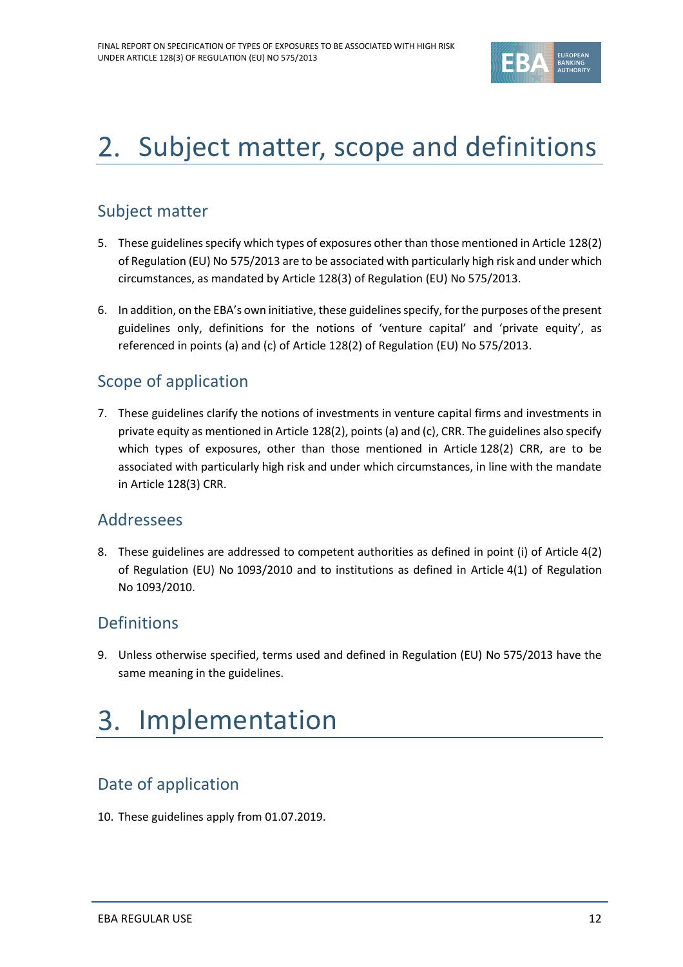

# 2. Subject matter, scope and definitions

## Subject matter

- 5. These guidelines specify which types of exposures other than those mentioned in Article 128(2) of Regulation (EU) No 575/2013 are to be associated with particularly high risk and under which circumstances, as mandated by Article 128(3) of Regulation (EU) No 575/2013.
- 6. In addition, on the EBA's own initiative, these guidelines specify, for the purposes of the present guidelines only, definitions for the notions of 'venture capital' and 'private equity', as referenced in points (a) and (c) of Article 128(2) of Regulation (EU) No 575/2013.

## Scope of application

7. These guidelines clarify the notions of investments in venture capital firms and investments in private equity as mentioned in Article 128(2), points (a) and (c), CRR. The guidelines also specify which types of exposures, other than those mentioned in Article 128(2) CRR, are to be associated with particularly high risk and under which circumstances, in line with the mandate in Article 128(3) CRR.

## Addressees

8. These guidelines are addressed to competent authorities as defined in point (i) of Article 4(2) of Regulation (EU) No 1093/2010 and to institutions as defined in Article 4(1) of Regulation No 1093/2010.

## Definitions

9. Unless otherwise specified, terms used and defined in Regulation (EU) No 575/2013 have the same meaning in the guidelines.

### 3. Implementation

## Date of application

10. These guidelines apply from 01.07.2019.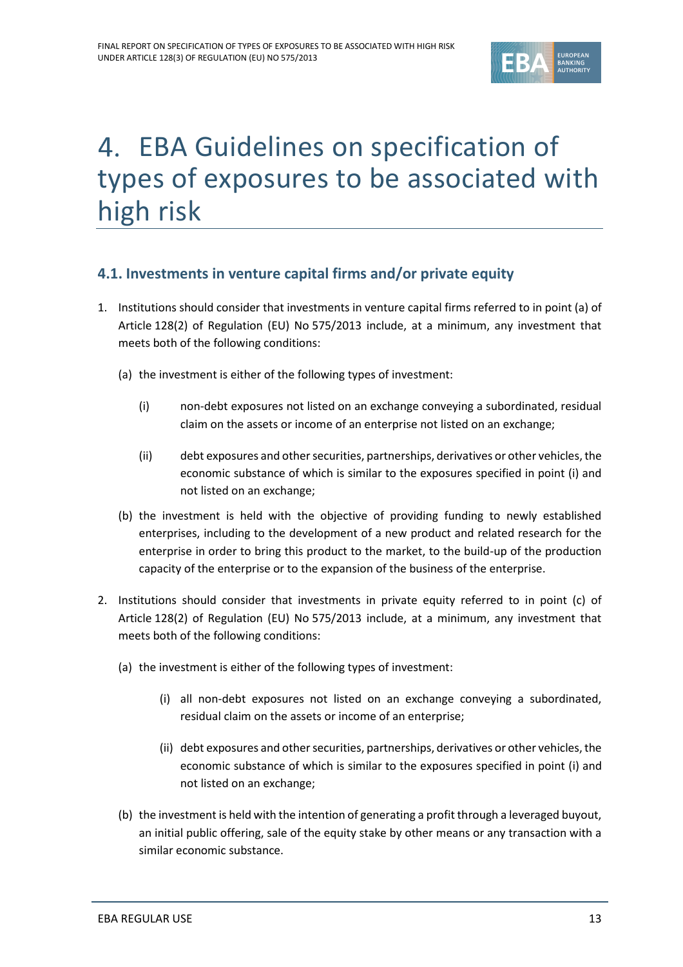

# EBA Guidelines on specification of types of exposures to be associated with high risk

## **4.1. Investments in venture capital firms and/or private equity**

- 1. Institutions should consider that investments in venture capital firms referred to in point (a) of Article 128(2) of Regulation (EU) No 575/2013 include, at a minimum, any investment that meets both of the following conditions:
	- (a) the investment is either of the following types of investment:
		- (i) non-debt exposures not listed on an exchange conveying a subordinated, residual claim on the assets or income of an enterprise not listed on an exchange;
		- (ii) debt exposures and other securities, partnerships, derivatives or other vehicles,the economic substance of which is similar to the exposures specified in point (i) and not listed on an exchange;
	- (b) the investment is held with the objective of providing funding to newly established enterprises, including to the development of a new product and related research for the enterprise in order to bring this product to the market, to the build-up of the production capacity of the enterprise or to the expansion of the business of the enterprise.
- 2. Institutions should consider that investments in private equity referred to in point (c) of Article 128(2) of Regulation (EU) No 575/2013 include, at a minimum, any investment that meets both of the following conditions:
	- (a) the investment is either of the following types of investment:
		- (i) all non-debt exposures not listed on an exchange conveying a subordinated, residual claim on the assets or income of an enterprise;
		- (ii) debt exposures and other securities, partnerships, derivatives or other vehicles, the economic substance of which is similar to the exposures specified in point (i) and not listed on an exchange;
	- (b) the investment is held with the intention of generating a profit through a leveraged buyout, an initial public offering, sale of the equity stake by other means or any transaction with a similar economic substance.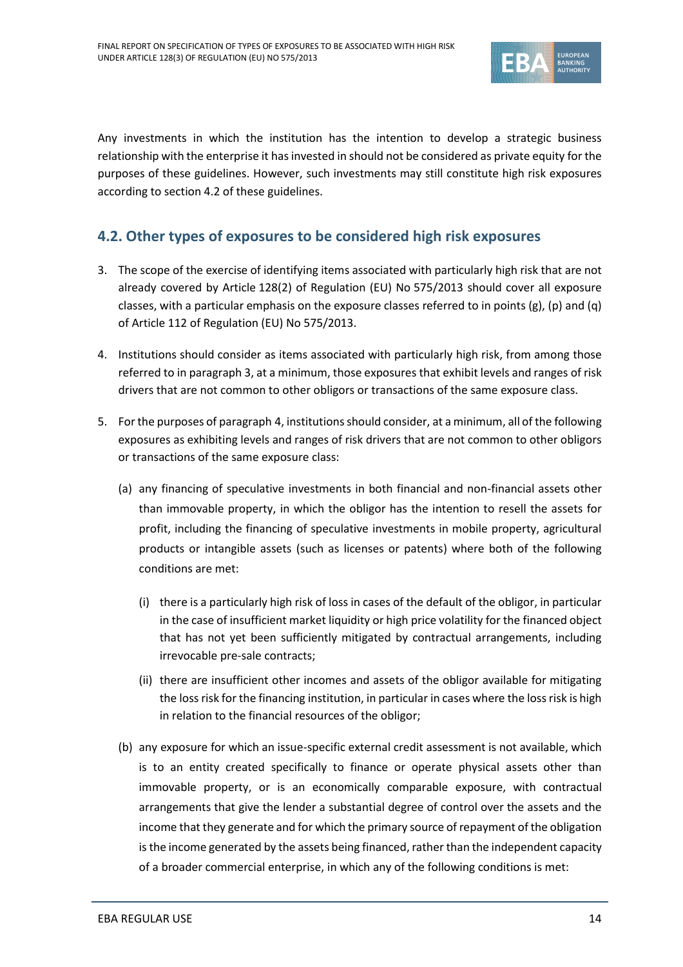

Any investments in which the institution has the intention to develop a strategic business relationship with the enterprise it has invested in should not be considered as private equity for the purposes of these guidelines. However, such investments may still constitute high risk exposures according to section 4.2 of these guidelines.

### **4.2. Other types of exposures to be considered high risk exposures**

- <span id="page-13-0"></span>3. The scope of the exercise of identifying items associated with particularly high risk that are not already covered by Article 128(2) of Regulation (EU) No 575/2013 should cover all exposure classes, with a particular emphasis on the exposure classes referred to in points (g), (p) and (q) of Article 112 of Regulation (EU) No 575/2013.
- 4. Institutions should consider as items associated with particularly high risk, from among those referred to in paragraph [3,](#page-13-0) at a minimum, those exposures that exhibit levels and ranges of risk drivers that are not common to other obligors or transactions of the same exposure class.
- 5. For the purposes of paragraph 4, institutions should consider, at a minimum, all of the following exposures as exhibiting levels and ranges of risk drivers that are not common to other obligors or transactions of the same exposure class:
	- (a) any financing of speculative investments in both financial and non-financial assets other than immovable property, in which the obligor has the intention to resell the assets for profit, including the financing of speculative investments in mobile property, agricultural products or intangible assets (such as licenses or patents) where both of the following conditions are met:
		- (i) there is a particularly high risk of loss in cases of the default of the obligor, in particular in the case of insufficient market liquidity or high price volatility for the financed object that has not yet been sufficiently mitigated by contractual arrangements, including irrevocable pre-sale contracts;
		- (ii) there are insufficient other incomes and assets of the obligor available for mitigating the loss risk for the financing institution, in particular in cases where the loss risk is high in relation to the financial resources of the obligor;
	- (b) any exposure for which an issue-specific external credit assessment is not available, which is to an entity created specifically to finance or operate physical assets other than immovable property, or is an economically comparable exposure, with contractual arrangements that give the lender a substantial degree of control over the assets and the income that they generate and for which the primary source of repayment of the obligation is the income generated by the assets being financed, rather than the independent capacity of a broader commercial enterprise, in which any of the following conditions is met: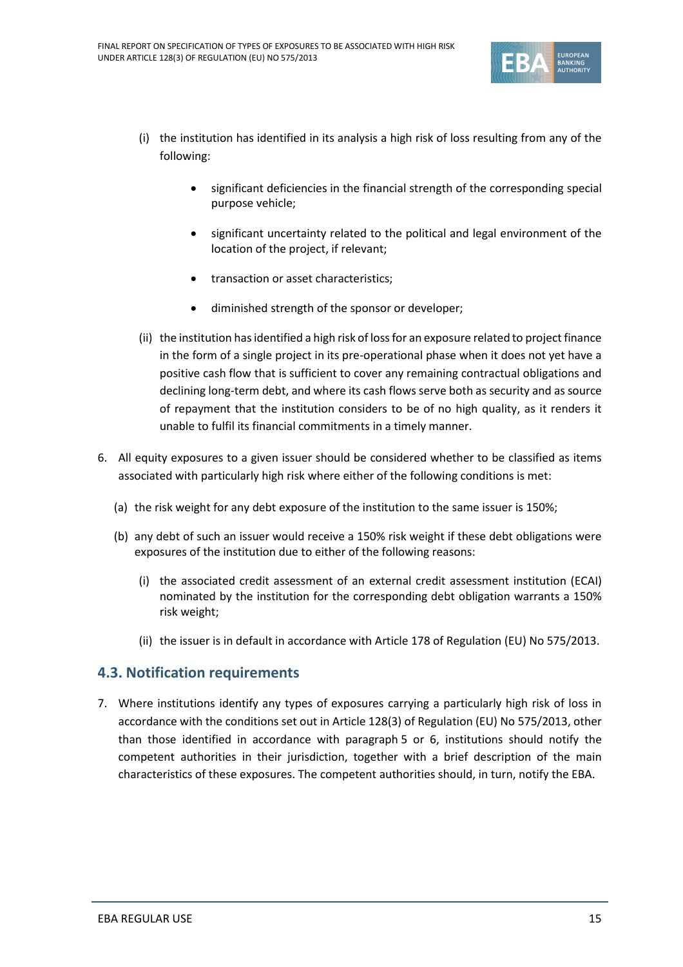

- (i) the institution has identified in its analysis a high risk of loss resulting from any of the following:
	- significant deficiencies in the financial strength of the corresponding special purpose vehicle;
	- significant uncertainty related to the political and legal environment of the location of the project, if relevant;
	- transaction or asset characteristics;
	- diminished strength of the sponsor or developer;
- (ii) the institution has identified a high risk of loss for an exposure related to project finance in the form of a single project in its pre-operational phase when it does not yet have a positive cash flow that is sufficient to cover any remaining contractual obligations and declining long-term debt, and where its cash flows serve both as security and as source of repayment that the institution considers to be of no high quality, as it renders it unable to fulfil its financial commitments in a timely manner.
- 6. All equity exposures to a given issuer should be considered whether to be classified as items associated with particularly high risk where either of the following conditions is met:
	- (a) the risk weight for any debt exposure of the institution to the same issuer is 150%;
	- (b) any debt of such an issuer would receive a 150% risk weight if these debt obligations were exposures of the institution due to either of the following reasons:
		- (i) the associated credit assessment of an external credit assessment institution (ECAI) nominated by the institution for the corresponding debt obligation warrants a 150% risk weight;
		- (ii) the issuer is in default in accordance with Article 178 of Regulation (EU) No 575/2013.

### **4.3. Notification requirements**

7. Where institutions identify any types of exposures carrying a particularly high risk of loss in accordance with the conditions set out in Article 128(3) of Regulation (EU) No 575/2013, other than those identified in accordance with paragraph 5 or 6, institutions should notify the competent authorities in their jurisdiction, together with a brief description of the main characteristics of these exposures. The competent authorities should, in turn, notify the EBA.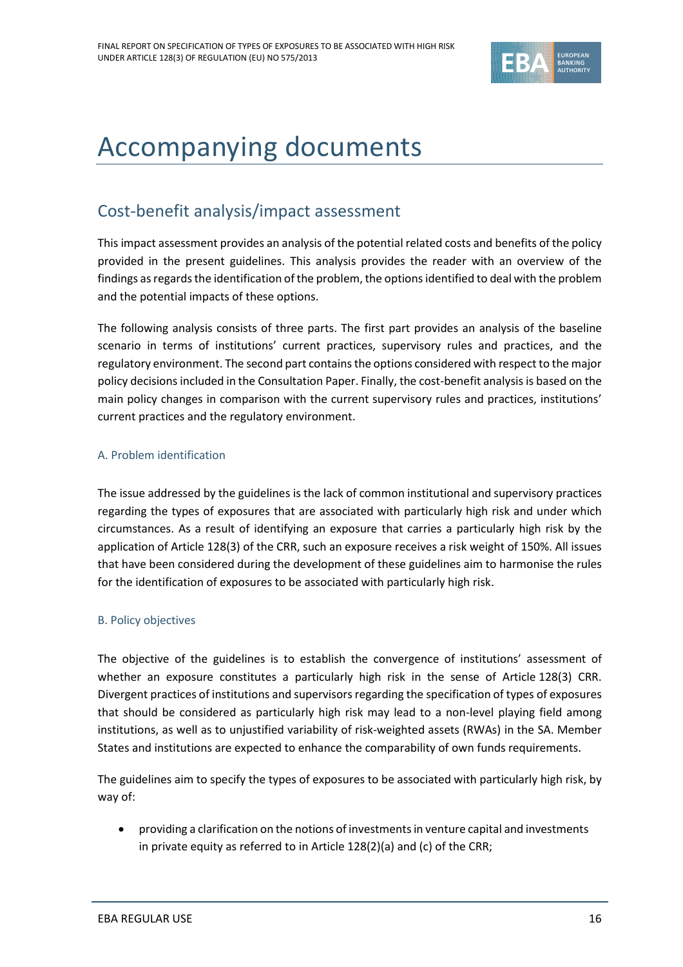

# <span id="page-15-0"></span>Accompanying documents

## <span id="page-15-1"></span>Cost-benefit analysis/impact assessment

This impact assessment provides an analysis of the potential related costs and benefits of the policy provided in the present guidelines. This analysis provides the reader with an overview of the findings as regards the identification of the problem, the options identified to deal with the problem and the potential impacts of these options.

The following analysis consists of three parts. The first part provides an analysis of the baseline scenario in terms of institutions' current practices, supervisory rules and practices, and the regulatory environment. The second part contains the options considered with respect to the major policy decisions included in the Consultation Paper. Finally, the cost-benefit analysis is based on the main policy changes in comparison with the current supervisory rules and practices, institutions' current practices and the regulatory environment.

### A. Problem identification

The issue addressed by the guidelines is the lack of common institutional and supervisory practices regarding the types of exposures that are associated with particularly high risk and under which circumstances. As a result of identifying an exposure that carries a particularly high risk by the application of Article 128(3) of the CRR, such an exposure receives a risk weight of 150%. All issues that have been considered during the development of these guidelines aim to harmonise the rules for the identification of exposures to be associated with particularly high risk.

### B. Policy objectives

The objective of the guidelines is to establish the convergence of institutions' assessment of whether an exposure constitutes a particularly high risk in the sense of Article 128(3) CRR. Divergent practices of institutions and supervisors regarding the specification of types of exposures that should be considered as particularly high risk may lead to a non-level playing field among institutions, as well as to unjustified variability of risk-weighted assets (RWAs) in the SA. Member States and institutions are expected to enhance the comparability of own funds requirements.

The guidelines aim to specify the types of exposures to be associated with particularly high risk, by way of:

 providing a clarification on the notions of investments in venture capital and investments in private equity as referred to in Article 128(2)(a) and (c) of the CRR;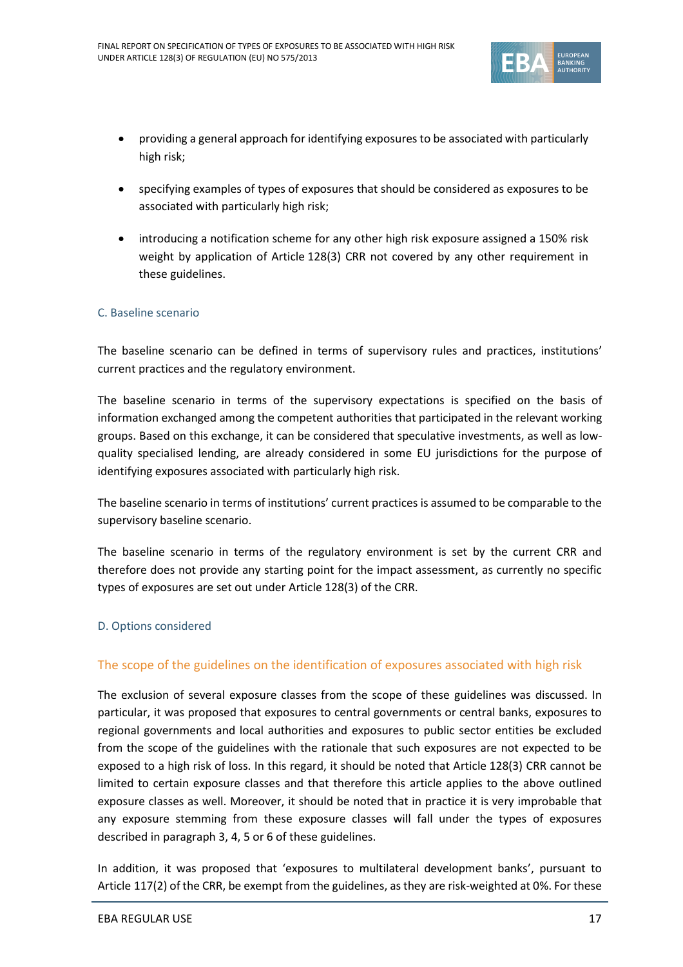

- providing a general approach for identifying exposures to be associated with particularly high risk;
- specifying examples of types of exposures that should be considered as exposures to be associated with particularly high risk;
- introducing a notification scheme for any other high risk exposure assigned a 150% risk weight by application of Article 128(3) CRR not covered by any other requirement in these guidelines.

### C. Baseline scenario

The baseline scenario can be defined in terms of supervisory rules and practices, institutions' current practices and the regulatory environment.

The baseline scenario in terms of the supervisory expectations is specified on the basis of information exchanged among the competent authorities that participated in the relevant working groups. Based on this exchange, it can be considered that speculative investments, as well as lowquality specialised lending, are already considered in some EU jurisdictions for the purpose of identifying exposures associated with particularly high risk.

The baseline scenario in terms of institutions' current practices is assumed to be comparable to the supervisory baseline scenario.

The baseline scenario in terms of the regulatory environment is set by the current CRR and therefore does not provide any starting point for the impact assessment, as currently no specific types of exposures are set out under Article 128(3) of the CRR.

### D. Options considered

### The scope of the guidelines on the identification of exposures associated with high risk

The exclusion of several exposure classes from the scope of these guidelines was discussed. In particular, it was proposed that exposures to central governments or central banks, exposures to regional governments and local authorities and exposures to public sector entities be excluded from the scope of the guidelines with the rationale that such exposures are not expected to be exposed to a high risk of loss. In this regard, it should be noted that Article 128(3) CRR cannot be limited to certain exposure classes and that therefore this article applies to the above outlined exposure classes as well. Moreover, it should be noted that in practice it is very improbable that any exposure stemming from these exposure classes will fall under the types of exposures described in paragraph 3, 4, 5 or 6 of these guidelines.

In addition, it was proposed that 'exposures to multilateral development banks', pursuant to Article 117(2) of the CRR, be exempt from the guidelines, as they are risk-weighted at 0%. For these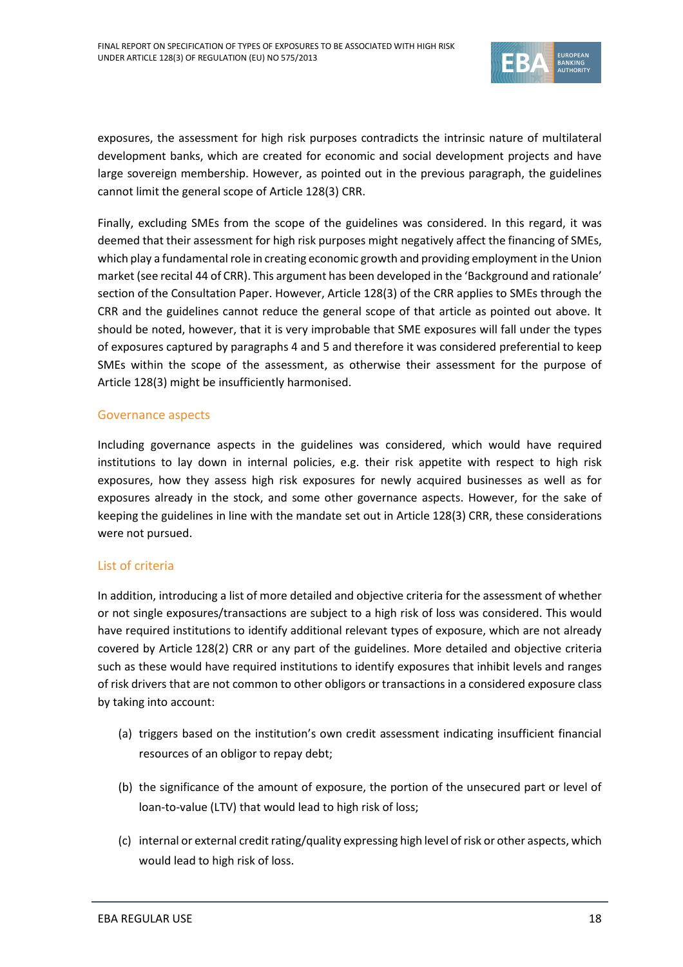

exposures, the assessment for high risk purposes contradicts the intrinsic nature of multilateral development banks, which are created for economic and social development projects and have large sovereign membership. However, as pointed out in the previous paragraph, the guidelines cannot limit the general scope of Article 128(3) CRR.

Finally, excluding SMEs from the scope of the guidelines was considered. In this regard, it was deemed that their assessment for high risk purposes might negatively affect the financing of SMEs, which play a fundamental role in creating economic growth and providing employment in the Union market (see recital 44 of CRR). This argument has been developed in the 'Background and rationale' section of the Consultation Paper. However, Article 128(3) of the CRR applies to SMEs through the CRR and the guidelines cannot reduce the general scope of that article as pointed out above. It should be noted, however, that it is very improbable that SME exposures will fall under the types of exposures captured by paragraphs 4 and 5 and therefore it was considered preferential to keep SMEs within the scope of the assessment, as otherwise their assessment for the purpose of Article 128(3) might be insufficiently harmonised.

### Governance aspects

Including governance aspects in the guidelines was considered, which would have required institutions to lay down in internal policies, e.g. their risk appetite with respect to high risk exposures, how they assess high risk exposures for newly acquired businesses as well as for exposures already in the stock, and some other governance aspects. However, for the sake of keeping the guidelines in line with the mandate set out in Article 128(3) CRR, these considerations were not pursued.

### List of criteria

In addition, introducing a list of more detailed and objective criteria for the assessment of whether or not single exposures/transactions are subject to a high risk of loss was considered. This would have required institutions to identify additional relevant types of exposure, which are not already covered by Article 128(2) CRR or any part of the guidelines. More detailed and objective criteria such as these would have required institutions to identify exposures that inhibit levels and ranges of risk drivers that are not common to other obligors or transactions in a considered exposure class by taking into account:

- (a) triggers based on the institution's own credit assessment indicating insufficient financial resources of an obligor to repay debt;
- (b) the significance of the amount of exposure, the portion of the unsecured part or level of loan-to-value (LTV) that would lead to high risk of loss;
- (c) internal or external credit rating/quality expressing high level of risk or other aspects, which would lead to high risk of loss.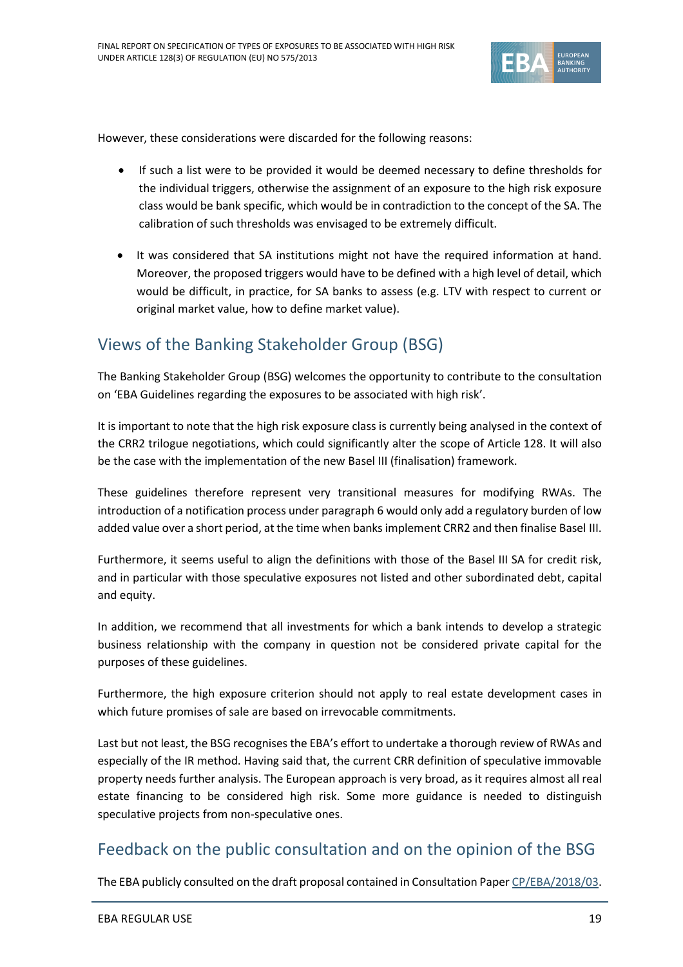

However, these considerations were discarded for the following reasons:

- If such a list were to be provided it would be deemed necessary to define thresholds for the individual triggers, otherwise the assignment of an exposure to the high risk exposure class would be bank specific, which would be in contradiction to the concept of the SA. The calibration of such thresholds was envisaged to be extremely difficult.
- It was considered that SA institutions might not have the required information at hand. Moreover, the proposed triggers would have to be defined with a high level of detail, which would be difficult, in practice, for SA banks to assess (e.g. LTV with respect to current or original market value, how to define market value).

## <span id="page-18-0"></span>Views of the Banking Stakeholder Group (BSG)

The Banking Stakeholder Group (BSG) welcomes the opportunity to contribute to the consultation on 'EBA Guidelines regarding the exposures to be associated with high risk'.

It is important to note that the high risk exposure class is currently being analysed in the context of the CRR2 trilogue negotiations, which could significantly alter the scope of Article 128. It will also be the case with the implementation of the new Basel III (finalisation) framework.

These guidelines therefore represent very transitional measures for modifying RWAs. The introduction of a notification process under paragraph 6 would only add a regulatory burden of low added value over a short period, at the time when banks implement CRR2 and then finalise Basel III.

Furthermore, it seems useful to align the definitions with those of the Basel III SA for credit risk, and in particular with those speculative exposures not listed and other subordinated debt, capital and equity.

In addition, we recommend that all investments for which a bank intends to develop a strategic business relationship with the company in question not be considered private capital for the purposes of these guidelines.

Furthermore, the high exposure criterion should not apply to real estate development cases in which future promises of sale are based on irrevocable commitments.

Last but not least, the BSG recognises the EBA's effort to undertake a thorough review of RWAs and especially of the IR method. Having said that, the current CRR definition of speculative immovable property needs further analysis. The European approach is very broad, as it requires almost all real estate financing to be considered high risk. Some more guidance is needed to distinguish speculative projects from non-speculative ones.

## <span id="page-18-1"></span>Feedback on the public consultation and on the opinion of the BSG

The EBA publicly consulted on the draft proposal contained in Consultation Paper [CP/EBA/2018/03.](https://www.eba.europa.eu/documents/10180/2188580/Consultation+Paper+on+Guidelines+on+specification+of+types+of+exposures+to+be+associated+with+high+risk+%28EBA-CP-2018-03%29.pdf)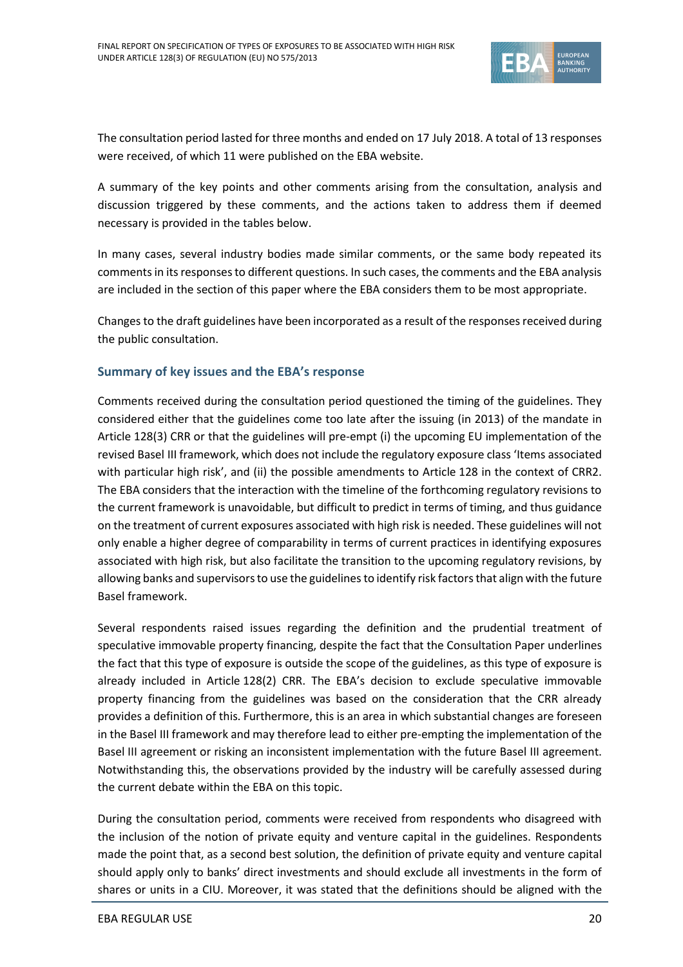

The consultation period lasted for three months and ended on 17 July 2018. A total of 13 responses were received, of which 11 were published on the EBA website.

A summary of the key points and other comments arising from the consultation, analysis and discussion triggered by these comments, and the actions taken to address them if deemed necessary is provided in the tables below.

In many cases, several industry bodies made similar comments, or the same body repeated its comments in its responsesto different questions. In such cases, the comments and the EBA analysis are included in the section of this paper where the EBA considers them to be most appropriate.

Changes to the draft guidelines have been incorporated as a result of the responses received during the public consultation.

### **Summary of key issues and the EBA's response**

Comments received during the consultation period questioned the timing of the guidelines. They considered either that the guidelines come too late after the issuing (in 2013) of the mandate in Article 128(3) CRR or that the guidelines will pre-empt (i) the upcoming EU implementation of the revised Basel III framework, which does not include the regulatory exposure class 'Items associated with particular high risk', and (ii) the possible amendments to Article 128 in the context of CRR2. The EBA considers that the interaction with the timeline of the forthcoming regulatory revisions to the current framework is unavoidable, but difficult to predict in terms of timing, and thus guidance on the treatment of current exposures associated with high risk is needed. These guidelines will not only enable a higher degree of comparability in terms of current practices in identifying exposures associated with high risk, but also facilitate the transition to the upcoming regulatory revisions, by allowing banks and supervisors to use the guidelines to identify risk factorsthat align with the future Basel framework.

Several respondents raised issues regarding the definition and the prudential treatment of speculative immovable property financing, despite the fact that the Consultation Paper underlines the fact that this type of exposure is outside the scope of the guidelines, as this type of exposure is already included in Article 128(2) CRR. The EBA's decision to exclude speculative immovable property financing from the guidelines was based on the consideration that the CRR already provides a definition of this. Furthermore, this is an area in which substantial changes are foreseen in the Basel III framework and may therefore lead to either pre-empting the implementation of the Basel III agreement or risking an inconsistent implementation with the future Basel III agreement. Notwithstanding this, the observations provided by the industry will be carefully assessed during the current debate within the EBA on this topic.

During the consultation period, comments were received from respondents who disagreed with the inclusion of the notion of private equity and venture capital in the guidelines. Respondents made the point that, as a second best solution, the definition of private equity and venture capital should apply only to banks' direct investments and should exclude all investments in the form of shares or units in a CIU. Moreover, it was stated that the definitions should be aligned with the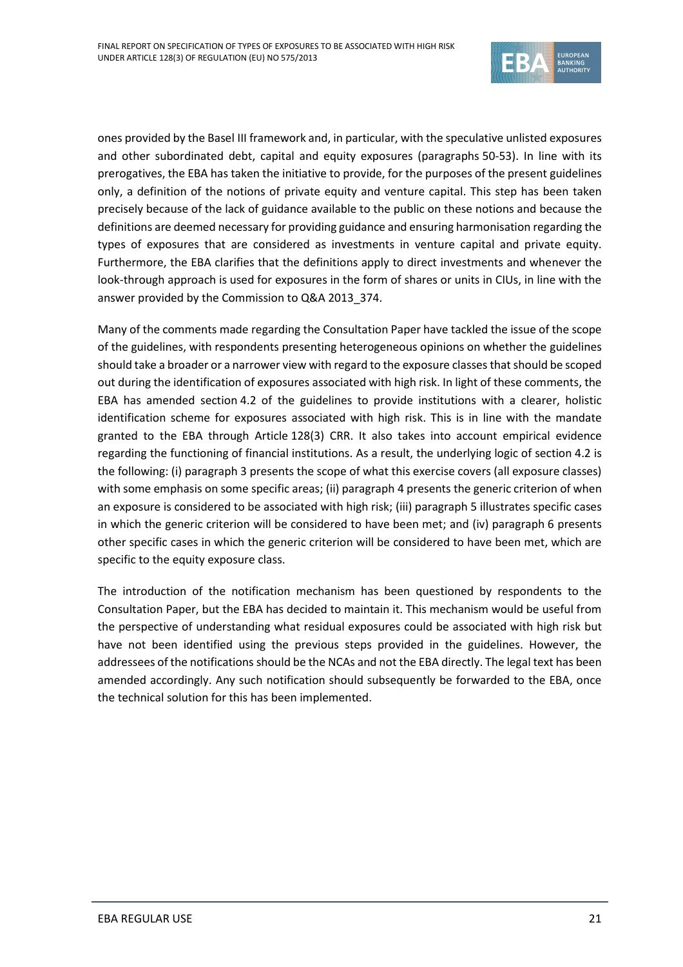

ones provided by the Basel III framework and, in particular, with the speculative unlisted exposures and other subordinated debt, capital and equity exposures (paragraphs 50-53). In line with its prerogatives, the EBA has taken the initiative to provide, for the purposes of the present guidelines only, a definition of the notions of private equity and venture capital. This step has been taken precisely because of the lack of guidance available to the public on these notions and because the definitions are deemed necessary for providing guidance and ensuring harmonisation regarding the types of exposures that are considered as investments in venture capital and private equity. Furthermore, the EBA clarifies that the definitions apply to direct investments and whenever the look-through approach is used for exposures in the form of shares or units in CIUs, in line with the answer provided by the Commission to Q&A 2013\_374.

Many of the comments made regarding the Consultation Paper have tackled the issue of the scope of the guidelines, with respondents presenting heterogeneous opinions on whether the guidelines should take a broader or a narrower view with regard to the exposure classes that should be scoped out during the identification of exposures associated with high risk. In light of these comments, the EBA has amended section 4.2 of the guidelines to provide institutions with a clearer, holistic identification scheme for exposures associated with high risk. This is in line with the mandate granted to the EBA through Article 128(3) CRR. It also takes into account empirical evidence regarding the functioning of financial institutions. As a result, the underlying logic of section 4.2 is the following: (i) paragraph 3 presents the scope of what this exercise covers (all exposure classes) with some emphasis on some specific areas; (ii) paragraph 4 presents the generic criterion of when an exposure is considered to be associated with high risk; (iii) paragraph 5 illustrates specific cases in which the generic criterion will be considered to have been met; and (iv) paragraph 6 presents other specific cases in which the generic criterion will be considered to have been met, which are specific to the equity exposure class.

The introduction of the notification mechanism has been questioned by respondents to the Consultation Paper, but the EBA has decided to maintain it. This mechanism would be useful from the perspective of understanding what residual exposures could be associated with high risk but have not been identified using the previous steps provided in the guidelines. However, the addressees of the notifications should be the NCAs and not the EBA directly. The legal text has been amended accordingly. Any such notification should subsequently be forwarded to the EBA, once the technical solution for this has been implemented.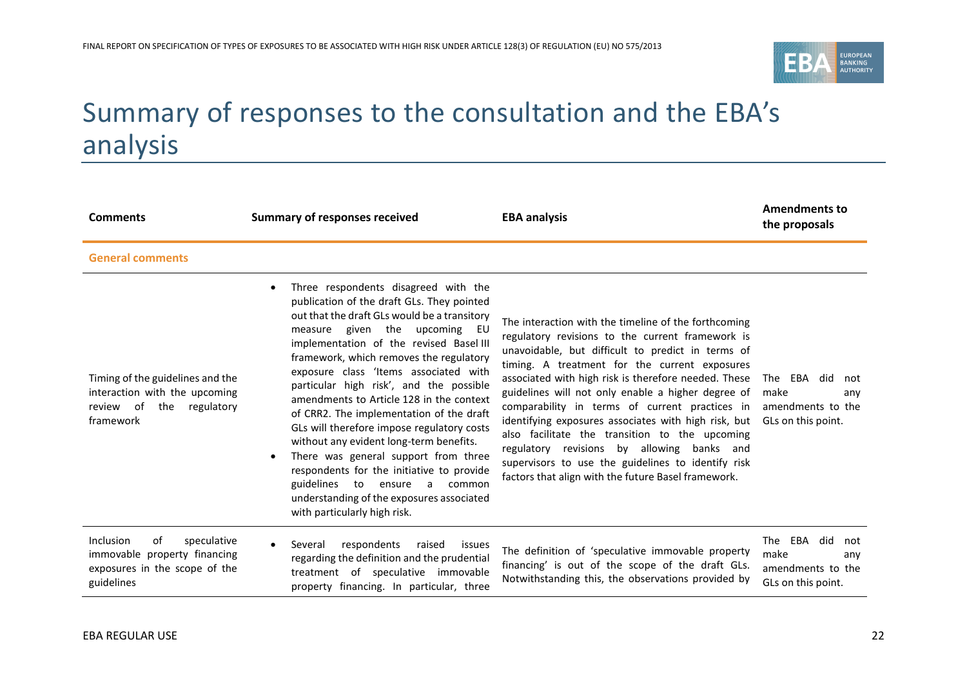

# Summary of responses to the consultation and the EBA's analysis

<span id="page-21-0"></span>

| <b>Comments</b>                                                                                               | <b>Summary of responses received</b>                                                                                                                                                                                                                                                                                                                                                                                                                                                                                                                                                                                                                                                                                                             | <b>EBA analysis</b>                                                                                                                                                                                                                                                                                                                                                                                                                                                                                                                                                                                                                                 | <b>Amendments to</b><br>the proposals                                        |
|---------------------------------------------------------------------------------------------------------------|--------------------------------------------------------------------------------------------------------------------------------------------------------------------------------------------------------------------------------------------------------------------------------------------------------------------------------------------------------------------------------------------------------------------------------------------------------------------------------------------------------------------------------------------------------------------------------------------------------------------------------------------------------------------------------------------------------------------------------------------------|-----------------------------------------------------------------------------------------------------------------------------------------------------------------------------------------------------------------------------------------------------------------------------------------------------------------------------------------------------------------------------------------------------------------------------------------------------------------------------------------------------------------------------------------------------------------------------------------------------------------------------------------------------|------------------------------------------------------------------------------|
| <b>General comments</b>                                                                                       |                                                                                                                                                                                                                                                                                                                                                                                                                                                                                                                                                                                                                                                                                                                                                  |                                                                                                                                                                                                                                                                                                                                                                                                                                                                                                                                                                                                                                                     |                                                                              |
| Timing of the guidelines and the<br>interaction with the upcoming<br>the regulatory<br>review of<br>framework | Three respondents disagreed with the<br>publication of the draft GLs. They pointed<br>out that the draft GLs would be a transitory<br>measure given the upcoming<br>EU<br>implementation of the revised Basel III<br>framework, which removes the regulatory<br>exposure class 'Items associated with<br>particular high risk', and the possible<br>amendments to Article 128 in the context<br>of CRR2. The implementation of the draft<br>GLs will therefore impose regulatory costs<br>without any evident long-term benefits.<br>There was general support from three<br>respondents for the initiative to provide<br>guidelines<br>to<br>ensure<br>a<br>common<br>understanding of the exposures associated<br>with particularly high risk. | The interaction with the timeline of the forthcoming<br>regulatory revisions to the current framework is<br>unavoidable, but difficult to predict in terms of<br>timing. A treatment for the current exposures<br>associated with high risk is therefore needed. These<br>guidelines will not only enable a higher degree of<br>comparability in terms of current practices in<br>identifying exposures associates with high risk, but<br>also facilitate the transition to the upcoming<br>regulatory revisions by allowing banks and<br>supervisors to use the guidelines to identify risk<br>factors that align with the future Basel framework. | The EBA did<br>not<br>make<br>any<br>amendments to the<br>GLs on this point. |
| Inclusion<br>speculative<br>of<br>immovable property financing<br>exposures in the scope of the<br>guidelines | respondents<br>Several<br>raised<br>issues<br>regarding the definition and the prudential<br>treatment of speculative immovable<br>property financing. In particular, three                                                                                                                                                                                                                                                                                                                                                                                                                                                                                                                                                                      | The definition of 'speculative immovable property<br>financing' is out of the scope of the draft GLs.<br>Notwithstanding this, the observations provided by                                                                                                                                                                                                                                                                                                                                                                                                                                                                                         | The EBA did<br>not<br>make<br>anv<br>amendments to the<br>GLs on this point. |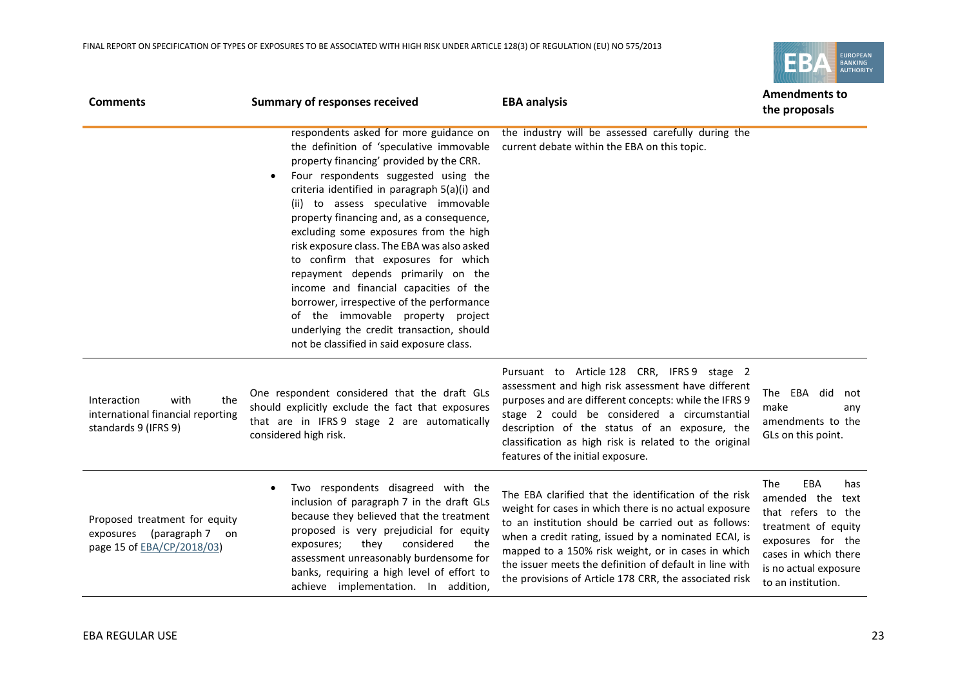

| <b>Comments</b>                                                                                  | <b>Summary of responses received</b>                                                                                                                                                                                                                                                                                                                                                                                                                                                                                                                                                                                                                                                                                 | <b>EBA analysis</b>                                                                                                                                                                                                                                                                                                                                                                                      | <b>Amendments to</b><br>the proposals                                                                                                                                          |
|--------------------------------------------------------------------------------------------------|----------------------------------------------------------------------------------------------------------------------------------------------------------------------------------------------------------------------------------------------------------------------------------------------------------------------------------------------------------------------------------------------------------------------------------------------------------------------------------------------------------------------------------------------------------------------------------------------------------------------------------------------------------------------------------------------------------------------|----------------------------------------------------------------------------------------------------------------------------------------------------------------------------------------------------------------------------------------------------------------------------------------------------------------------------------------------------------------------------------------------------------|--------------------------------------------------------------------------------------------------------------------------------------------------------------------------------|
|                                                                                                  | respondents asked for more guidance on<br>the definition of 'speculative immovable<br>property financing' provided by the CRR.<br>Four respondents suggested using the<br>$\bullet$<br>criteria identified in paragraph 5(a)(i) and<br>(ii) to assess speculative immovable<br>property financing and, as a consequence,<br>excluding some exposures from the high<br>risk exposure class. The EBA was also asked<br>to confirm that exposures for which<br>repayment depends primarily on the<br>income and financial capacities of the<br>borrower, irrespective of the performance<br>of the immovable property project<br>underlying the credit transaction, should<br>not be classified in said exposure class. | the industry will be assessed carefully during the<br>current debate within the EBA on this topic.                                                                                                                                                                                                                                                                                                       |                                                                                                                                                                                |
| Interaction<br>with<br>the<br>international financial reporting<br>standards 9 (IFRS 9)          | One respondent considered that the draft GLs<br>should explicitly exclude the fact that exposures<br>that are in IFRS 9 stage 2 are automatically<br>considered high risk.                                                                                                                                                                                                                                                                                                                                                                                                                                                                                                                                           | Pursuant to Article 128 CRR, IFRS 9 stage 2<br>assessment and high risk assessment have different<br>purposes and are different concepts: while the IFRS 9<br>stage 2 could be considered a circumstantial<br>description of the status of an exposure, the<br>classification as high risk is related to the original<br>features of the initial exposure.                                               | The EBA did<br>not<br>make<br>anv<br>amendments to the<br>GLs on this point.                                                                                                   |
| Proposed treatment for equity<br>exposures (paragraph 7 on<br>page 15 of <b>EBA/CP/2018/03</b> ) | Two respondents disagreed with the<br>$\bullet$<br>inclusion of paragraph 7 in the draft GLs<br>because they believed that the treatment<br>proposed is very prejudicial for equity<br>considered<br>they<br>exposures;<br>the<br>assessment unreasonably burdensome for<br>banks, requiring a high level of effort to<br>achieve implementation. In addition,                                                                                                                                                                                                                                                                                                                                                       | The EBA clarified that the identification of the risk<br>weight for cases in which there is no actual exposure<br>to an institution should be carried out as follows:<br>when a credit rating, issued by a nominated ECAI, is<br>mapped to a 150% risk weight, or in cases in which<br>the issuer meets the definition of default in line with<br>the provisions of Article 178 CRR, the associated risk | The<br>EBA<br>has<br>amended the text<br>that refers to the<br>treatment of equity<br>exposures for the<br>cases in which there<br>is no actual exposure<br>to an institution. |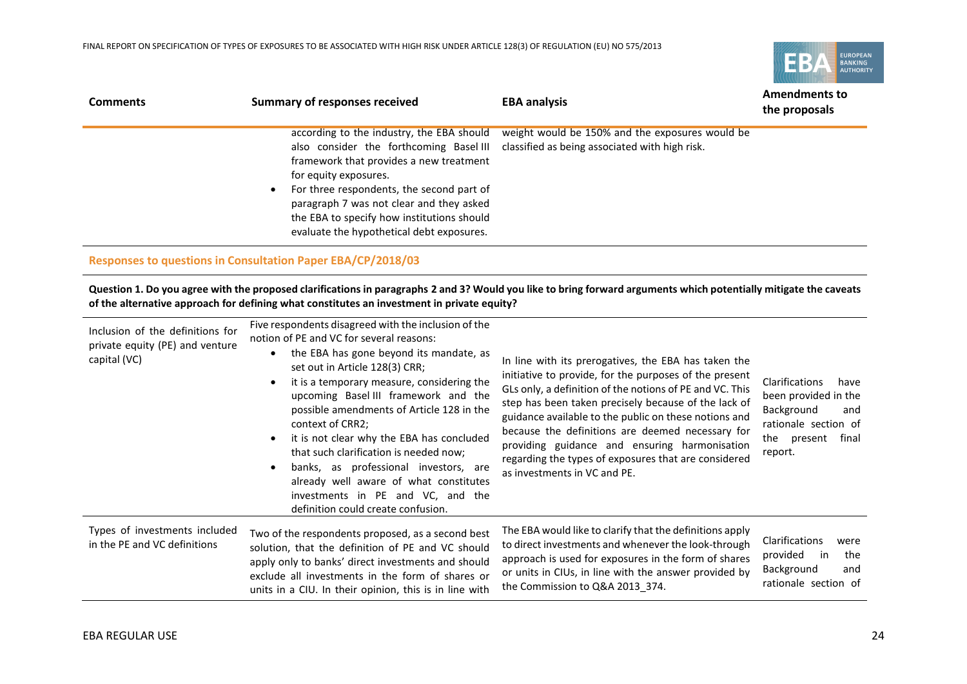

| <b>Comments</b> | <b>Summary of responses received</b>                                                                                                                                                                                                                                                                           | <b>EBA analysis</b>                                                                                                                       | <b>Amendments to</b><br>the proposals |
|-----------------|----------------------------------------------------------------------------------------------------------------------------------------------------------------------------------------------------------------------------------------------------------------------------------------------------------------|-------------------------------------------------------------------------------------------------------------------------------------------|---------------------------------------|
|                 | according to the industry, the EBA should<br>framework that provides a new treatment<br>for equity exposures.<br>For three respondents, the second part of<br>$\bullet$<br>paragraph 7 was not clear and they asked<br>the EBA to specify how institutions should<br>evaluate the hypothetical debt exposures. | weight would be 150% and the exposures would be<br>also consider the forthcoming Basel III classified as being associated with high risk. |                                       |

#### **Responses to questions in Consultation Paper EBA/CP/2018/03**

**Question 1. Do you agree with the proposed clarifications in paragraphs 2 and 3? Would you like to bring forward arguments which potentially mitigate the caveats of the alternative approach for defining what constitutes an investment in private equity?**

| Inclusion of the definitions for<br>private equity (PE) and venture<br>capital (VC) | Five respondents disagreed with the inclusion of the<br>notion of PE and VC for several reasons:<br>the EBA has gone beyond its mandate, as<br>$\bullet$<br>set out in Article 128(3) CRR;<br>it is a temporary measure, considering the<br>upcoming Basel III framework and the<br>possible amendments of Article 128 in the<br>context of CRR2;<br>it is not clear why the EBA has concluded<br>$\bullet$<br>that such clarification is needed now;<br>banks, as professional investors, are<br>already well aware of what constitutes<br>investments in PE and VC, and the<br>definition could create confusion. | In line with its prerogatives, the EBA has taken the<br>initiative to provide, for the purposes of the present<br>GLs only, a definition of the notions of PE and VC. This<br>step has been taken precisely because of the lack of<br>guidance available to the public on these notions and<br>because the definitions are deemed necessary for<br>providing guidance and ensuring harmonisation<br>regarding the types of exposures that are considered<br>as investments in VC and PE. | Clarifications<br>have<br>been provided in the<br>Background<br>and<br>rationale section of<br>final<br>the present<br>report. |
|-------------------------------------------------------------------------------------|---------------------------------------------------------------------------------------------------------------------------------------------------------------------------------------------------------------------------------------------------------------------------------------------------------------------------------------------------------------------------------------------------------------------------------------------------------------------------------------------------------------------------------------------------------------------------------------------------------------------|------------------------------------------------------------------------------------------------------------------------------------------------------------------------------------------------------------------------------------------------------------------------------------------------------------------------------------------------------------------------------------------------------------------------------------------------------------------------------------------|--------------------------------------------------------------------------------------------------------------------------------|
| Types of investments included<br>in the PE and VC definitions                       | Two of the respondents proposed, as a second best<br>solution, that the definition of PE and VC should<br>apply only to banks' direct investments and should<br>exclude all investments in the form of shares or<br>units in a CIU. In their opinion, this is in line with                                                                                                                                                                                                                                                                                                                                          | The EBA would like to clarify that the definitions apply<br>to direct investments and whenever the look-through<br>approach is used for exposures in the form of shares<br>or units in CIUs, in line with the answer provided by<br>the Commission to Q&A 2013 374.                                                                                                                                                                                                                      | Clarifications<br>were<br>provided<br>in<br>the<br>Background<br>and<br>rationale section of                                   |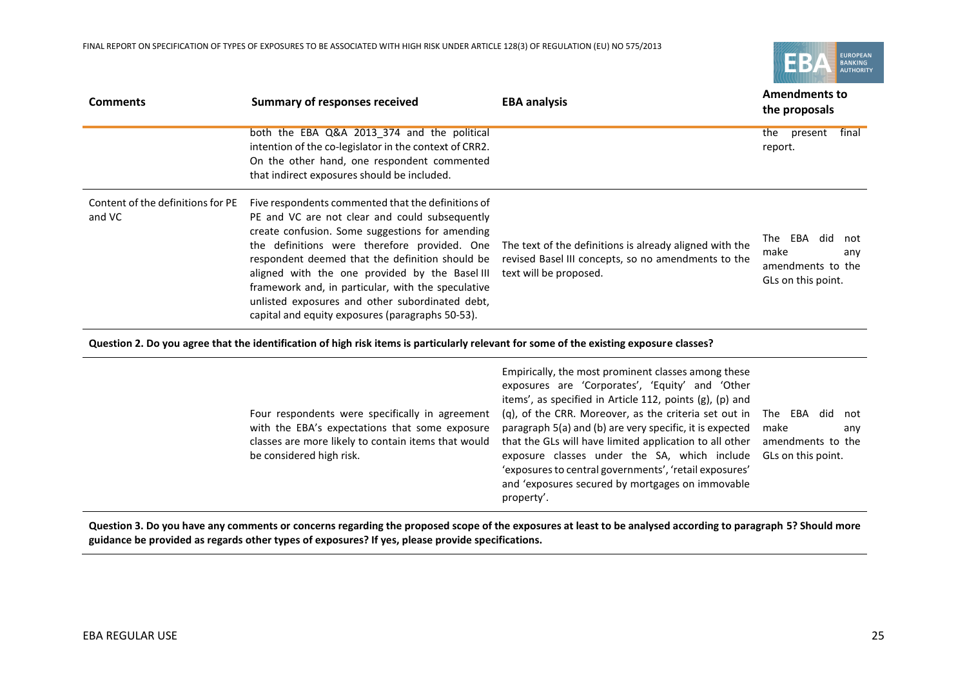

| <b>Comments</b>                             | <b>Summary of responses received</b>                                                                                                                                                                                                                                                                                                                                                                                                                                      | <b>EBA analysis</b>                                                                                                                      | <b>Amendments to</b><br>the proposals                                        |
|---------------------------------------------|---------------------------------------------------------------------------------------------------------------------------------------------------------------------------------------------------------------------------------------------------------------------------------------------------------------------------------------------------------------------------------------------------------------------------------------------------------------------------|------------------------------------------------------------------------------------------------------------------------------------------|------------------------------------------------------------------------------|
|                                             | both the EBA Q&A 2013 374 and the political<br>intention of the co-legislator in the context of CRR2.<br>On the other hand, one respondent commented<br>that indirect exposures should be included.                                                                                                                                                                                                                                                                       |                                                                                                                                          | final<br>present<br>the<br>report.                                           |
| Content of the definitions for PE<br>and VC | Five respondents commented that the definitions of<br>PE and VC are not clear and could subsequently<br>create confusion. Some suggestions for amending<br>the definitions were therefore provided. One<br>respondent deemed that the definition should be<br>aligned with the one provided by the Basel III<br>framework and, in particular, with the speculative<br>unlisted exposures and other subordinated debt,<br>capital and equity exposures (paragraphs 50-53). | The text of the definitions is already aligned with the<br>revised Basel III concepts, so no amendments to the<br>text will be proposed. | The EBA did<br>not<br>make<br>any<br>amendments to the<br>GLs on this point. |

**Question 2. Do you agree that the identification of high risk items is particularly relevant for some of the existing exposure classes?**

| make       | anv                                                                                                                                                                                                                                                                                                                                                                                                   |
|------------|-------------------------------------------------------------------------------------------------------------------------------------------------------------------------------------------------------------------------------------------------------------------------------------------------------------------------------------------------------------------------------------------------------|
| property'. | (q), of the CRR. Moreover, as the criteria set out in The EBA did not<br>paragraph 5(a) and (b) are very specific, it is expected<br>that the GLs will have limited application to all other<br>amendments to the<br>exposure classes under the SA, which include<br>GLs on this point.<br>'exposures to central governments', 'retail exposures'<br>and 'exposures secured by mortgages on immovable |

**Question 3. Do you have any comments or concerns regarding the proposed scope of the exposures at least to be analysed according to paragraph 5? Should more guidance be provided as regards other types of exposures? If yes, please provide specifications.**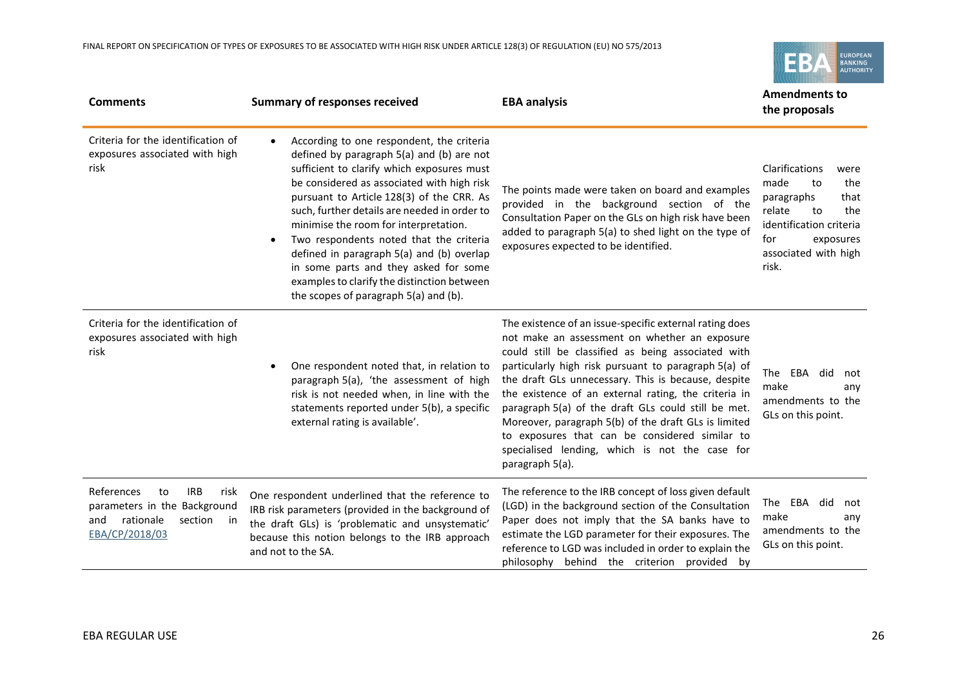EUROPEAN<br>BANKING<br>AUTHORITY EB

| <b>Comments</b>                                                                                                               | <b>Summary of responses received</b>                                                                                                                                                                                                                                                                                                                                                                                                                                                                                                                           | <b>EBA analysis</b>                                                                                                                                                                                                                                                                                                                                                                                                                                                                                                                                                         | <b>Amendments to</b><br>the proposals                                                                                                                                    |
|-------------------------------------------------------------------------------------------------------------------------------|----------------------------------------------------------------------------------------------------------------------------------------------------------------------------------------------------------------------------------------------------------------------------------------------------------------------------------------------------------------------------------------------------------------------------------------------------------------------------------------------------------------------------------------------------------------|-----------------------------------------------------------------------------------------------------------------------------------------------------------------------------------------------------------------------------------------------------------------------------------------------------------------------------------------------------------------------------------------------------------------------------------------------------------------------------------------------------------------------------------------------------------------------------|--------------------------------------------------------------------------------------------------------------------------------------------------------------------------|
| Criteria for the identification of<br>exposures associated with high<br>risk                                                  | According to one respondent, the criteria<br>defined by paragraph 5(a) and (b) are not<br>sufficient to clarify which exposures must<br>be considered as associated with high risk<br>pursuant to Article 128(3) of the CRR. As<br>such, further details are needed in order to<br>minimise the room for interpretation.<br>Two respondents noted that the criteria<br>$\bullet$<br>defined in paragraph 5(a) and (b) overlap<br>in some parts and they asked for some<br>examples to clarify the distinction between<br>the scopes of paragraph 5(a) and (b). | The points made were taken on board and examples<br>provided in the background section of the<br>Consultation Paper on the GLs on high risk have been<br>added to paragraph 5(a) to shed light on the type of<br>exposures expected to be identified.                                                                                                                                                                                                                                                                                                                       | Clarifications<br>were<br>made<br>the<br>to<br>that<br>paragraphs<br>relate<br>to<br>the<br>identification criteria<br>for<br>exposures<br>associated with high<br>risk. |
| Criteria for the identification of<br>exposures associated with high<br>risk                                                  | One respondent noted that, in relation to<br>$\bullet$<br>paragraph 5(a), 'the assessment of high<br>risk is not needed when, in line with the<br>statements reported under 5(b), a specific<br>external rating is available'.                                                                                                                                                                                                                                                                                                                                 | The existence of an issue-specific external rating does<br>not make an assessment on whether an exposure<br>could still be classified as being associated with<br>particularly high risk pursuant to paragraph 5(a) of<br>the draft GLs unnecessary. This is because, despite<br>the existence of an external rating, the criteria in<br>paragraph 5(a) of the draft GLs could still be met.<br>Moreover, paragraph 5(b) of the draft GLs is limited<br>to exposures that can be considered similar to<br>specialised lending, which is not the case for<br>paragraph 5(a). | The EBA did<br>not<br>make<br>any<br>amendments to the<br>GLs on this point.                                                                                             |
| References<br><b>IRB</b><br>to<br>risk<br>parameters in the Background<br>rationale<br>section<br>and<br>in<br>EBA/CP/2018/03 | One respondent underlined that the reference to<br>IRB risk parameters (provided in the background of<br>the draft GLs) is 'problematic and unsystematic'<br>because this notion belongs to the IRB approach<br>and not to the SA.                                                                                                                                                                                                                                                                                                                             | The reference to the IRB concept of loss given default<br>(LGD) in the background section of the Consultation<br>Paper does not imply that the SA banks have to<br>estimate the LGD parameter for their exposures. The<br>reference to LGD was included in order to explain the<br>philosophy behind the criterion provided by                                                                                                                                                                                                                                              | The EBA did<br>not<br>make<br>any<br>amendments to the<br>GLs on this point.                                                                                             |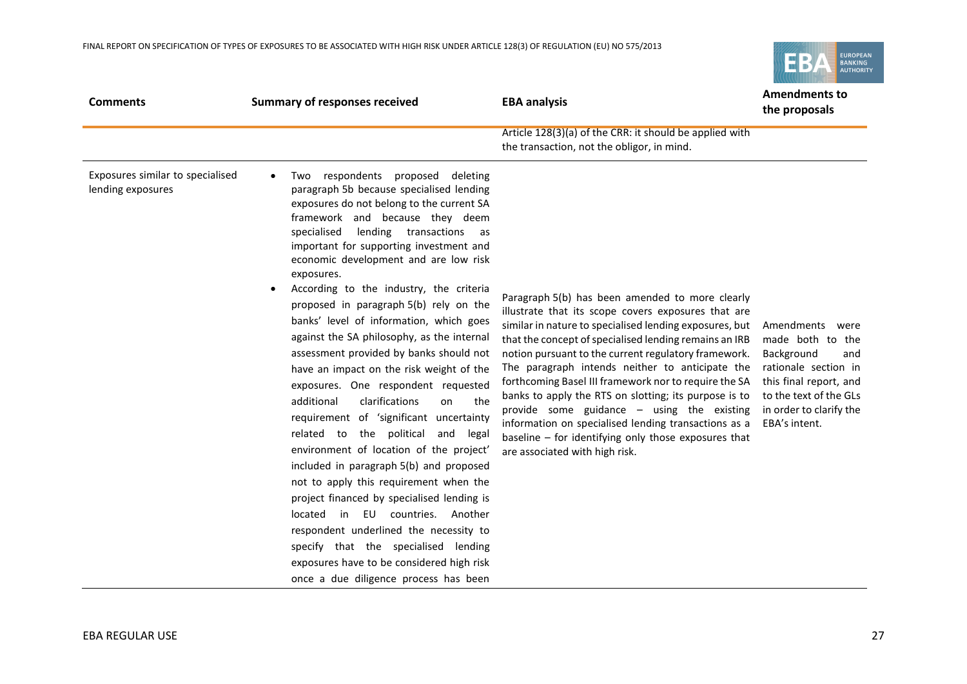EUROPEAN<br>BANKING<br>AUTHORITY EB,

| <b>Comments</b>                                       | <b>Summary of responses received</b>                                                                                                                                                                                                                                                                                                                                                                                                                                                                                                                                                                                                                                                                                                                                                                                                                                                                                                                                                                                                                                                                                                                                         | <b>EBA analysis</b>                                                                                                                                                                                                                                                                                                                                                                                                                                                                                                                                                                                                                                        | <b>Amendments to</b><br>the proposals                                                                                                                                            |
|-------------------------------------------------------|------------------------------------------------------------------------------------------------------------------------------------------------------------------------------------------------------------------------------------------------------------------------------------------------------------------------------------------------------------------------------------------------------------------------------------------------------------------------------------------------------------------------------------------------------------------------------------------------------------------------------------------------------------------------------------------------------------------------------------------------------------------------------------------------------------------------------------------------------------------------------------------------------------------------------------------------------------------------------------------------------------------------------------------------------------------------------------------------------------------------------------------------------------------------------|------------------------------------------------------------------------------------------------------------------------------------------------------------------------------------------------------------------------------------------------------------------------------------------------------------------------------------------------------------------------------------------------------------------------------------------------------------------------------------------------------------------------------------------------------------------------------------------------------------------------------------------------------------|----------------------------------------------------------------------------------------------------------------------------------------------------------------------------------|
|                                                       |                                                                                                                                                                                                                                                                                                                                                                                                                                                                                                                                                                                                                                                                                                                                                                                                                                                                                                                                                                                                                                                                                                                                                                              | Article 128(3)(a) of the CRR: it should be applied with<br>the transaction, not the obligor, in mind.                                                                                                                                                                                                                                                                                                                                                                                                                                                                                                                                                      |                                                                                                                                                                                  |
| Exposures similar to specialised<br>lending exposures | Two respondents<br>proposed deleting<br>$\bullet$<br>paragraph 5b because specialised lending<br>exposures do not belong to the current SA<br>framework and because they deem<br>specialised<br>lending transactions as<br>important for supporting investment and<br>economic development and are low risk<br>exposures.<br>According to the industry, the criteria<br>proposed in paragraph 5(b) rely on the<br>banks' level of information, which goes<br>against the SA philosophy, as the internal<br>assessment provided by banks should not<br>have an impact on the risk weight of the<br>exposures. One respondent requested<br>clarifications<br>additional<br>the<br>on<br>requirement of 'significant uncertainty<br>related to the political<br>and<br>legal<br>environment of location of the project'<br>included in paragraph 5(b) and proposed<br>not to apply this requirement when the<br>project financed by specialised lending is<br>located<br>in EU<br>countries.<br>Another<br>respondent underlined the necessity to<br>specify that the specialised lending<br>exposures have to be considered high risk<br>once a due diligence process has been | Paragraph 5(b) has been amended to more clearly<br>illustrate that its scope covers exposures that are<br>similar in nature to specialised lending exposures, but<br>that the concept of specialised lending remains an IRB<br>notion pursuant to the current regulatory framework.<br>The paragraph intends neither to anticipate the<br>forthcoming Basel III framework nor to require the SA<br>banks to apply the RTS on slotting; its purpose is to<br>provide some guidance - using the existing<br>information on specialised lending transactions as a<br>baseline $-$ for identifying only those exposures that<br>are associated with high risk. | Amendments were<br>made both to the<br>Background<br>and<br>rationale section in<br>this final report, and<br>to the text of the GLs<br>in order to clarify the<br>EBA's intent. |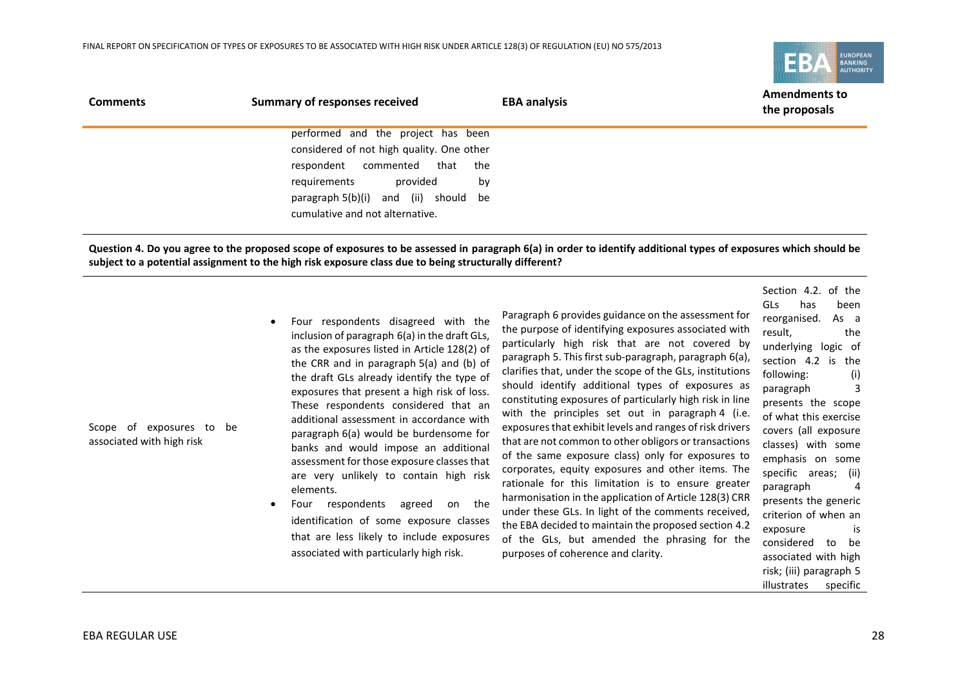

| <b>Comments</b> | Summary of responses received             | <b>EBA analysis</b> | <b>Amendments to</b><br>the proposals |
|-----------------|-------------------------------------------|---------------------|---------------------------------------|
|                 | performed and the project has been        |                     |                                       |
|                 | considered of not high quality. One other |                     |                                       |
|                 | respondent commented that                 | the                 |                                       |
|                 | provided<br>requirements                  | by                  |                                       |
|                 | paragraph 5(b)(i) and (ii) should be      |                     |                                       |
|                 | cumulative and not alternative.           |                     |                                       |

**Question 4. Do you agree to the proposed scope of exposures to be assessed in paragraph 6(a) in order to identify additional types of exposures which should be subject to a potential assignment to the high risk exposure class due to being structurally different?**

| Four respondents disagreed with the           |
|-----------------------------------------------|
| inclusion of paragraph 6(a) in the draft GLs, |
| as the exposures listed in Article 128(2) of  |
| the CRR and in paragraph 5(a) and (b) of      |
| the draft GLs already identify the type of    |
| exposures that present a high risk of loss.   |
| These respondents considered that an          |
| additional assessment in accordance with      |
| paragraph 6(a) would be burdensome for        |
| banks and would impose an additional          |
| assessment for those exposure classes that    |
| are very unlikely to contain high risk        |
| elements.                                     |
|                                               |

 Four respondents agreed on the identification of some exposure classes that are less likely to include exposures associated with particularly high risk.

Paragraph 6 provides guidance on the assessment for the purpose of identifying exposures associated with particularly high risk that are not covered by paragraph 5. This first sub-paragraph, paragraph 6(a), clarifies that, under the scope of the GLs, institutions should identify additional types of exposures as constituting exposures of particularly high risk in line with the principles set out in paragraph 4 (i.e. exposures that exhibit levels and ranges of risk drivers that are not common to other obligors or transactions of the same exposure class) only for exposures to corporates, equity exposures and other items. The rationale for this limitation is to ensure greater harmonisation in the application of Article 128(3) CRR under these GLs. In light of the comments received, the EBA decided to maintain the proposed section 4.2 of the GLs, but amended the phrasing for the purposes of coherence and clarity.

Section 4.2. of the GLs has been reorganised. As a result, the underlying logic of section 4.2 is the following: (i) paragraph 3 presents the scope of what this exercise covers (all exposure classes) with some emphasis on some specific areas; (ii) paragraph 4 presents the generic criterion of when an exposure is considered to be associated with high risk; (iii) paragraph 5 illustrates specific

Scope of exposures to be associated with high risk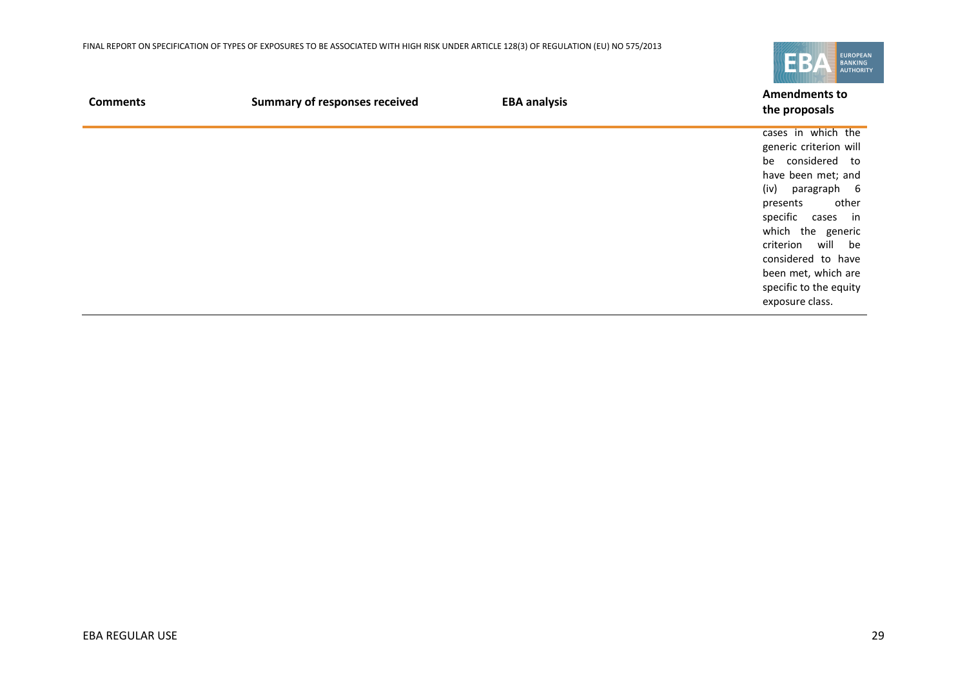

| <b>Comments</b> | <b>Summary of responses received</b> | <b>EBA analysis</b> | <b>Amendments to</b><br>the proposals                                                                                                                                                                                                                                                       |
|-----------------|--------------------------------------|---------------------|---------------------------------------------------------------------------------------------------------------------------------------------------------------------------------------------------------------------------------------------------------------------------------------------|
|                 |                                      |                     | cases in which the<br>generic criterion will<br>be considered to<br>have been met; and<br>(iv)<br>paragraph 6<br>other<br>presents<br>specific cases in<br>which the generic<br>criterion will be<br>considered to have<br>been met, which are<br>specific to the equity<br>exposure class. |